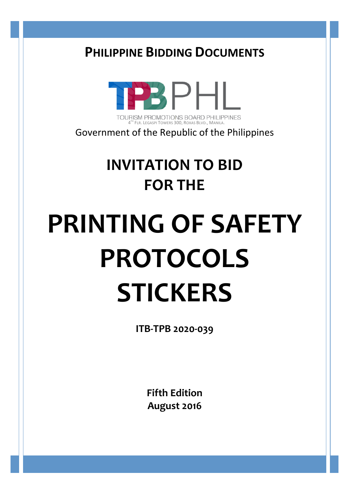# **PHILIPPINE BIDDING DOCUMENTS**



TOURISM PROMOTIONS BOARD PHILIPPINES  $4^{TH}$  FLR. LEGASPI TOWERS 300, ROXAS BLVD., MANILA.

Government of the Republic of the Philippines

# **INVITATION TO BID FOR THE**

# **PRINTING OF SAFETY PROTOCOLS STICKERS**

**ITB-TPB 2020-039**

**Fifth Edition August 2016**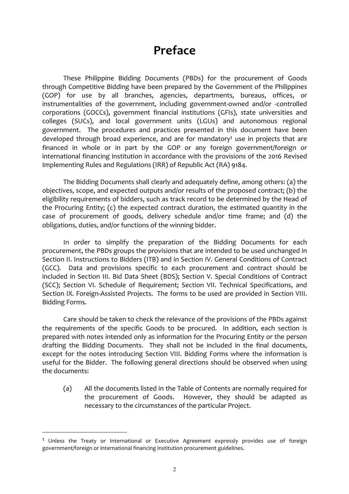## **Preface**

These Philippine Bidding Documents (PBDs) for the procurement of Goods through Competitive Bidding have been prepared by the Government of the Philippines (GOP) for use by all branches, agencies, departments, bureaus, offices, or instrumentalities of the government, including government-owned and/or -controlled corporations (GOCCs), government financial institutions (GFIs), state universities and colleges (SUCs), and local government units (LGUs) and autonomous regional government. The procedures and practices presented in this document have been developed through broad experience, and are for mandatory<sup>1</sup> use in projects that are financed in whole or in part by the GOP or any foreign government/foreign or international financing institution in accordance with the provisions of the 2016 Revised Implementing Rules and Regulations (IRR) of Republic Act (RA) 9184.

The Bidding Documents shall clearly and adequately define, among others: (a) the objectives, scope, and expected outputs and/or results of the proposed contract; (b) the eligibility requirements of bidders, such as track record to be determined by the Head of the Procuring Entity;  $(c)$  the expected contract duration, the estimated quantity in the case of procurement of goods, delivery schedule and/or time frame; and (d) the obligations, duties, and/or functions of the winning bidder.

In order to simplify the preparation of the Bidding Documents for each procurement, the PBDs groups the provisions that are intended to be used unchanged in Section II. Instructions to Bidders (ITB) and in Section IV. General Conditions of Contract (GCC). Data and provisions specific to each procurement and contract should be included in Section III. Bid Data Sheet (BDS); Section V. Special Conditions of Contract (SCC); Section VI. Schedule of Requirement; Section VII. Technical Specifications, and Section IX. Foreign-Assisted Projects. The forms to be used are provided in Section VIII. Bidding Forms.

Care should be taken to check the relevance of the provisions of the PBDs against the requirements of the specific Goods to be procured. In addition, each section is prepared with notes intended only as information for the Procuring Entity or the person drafting the Bidding Documents. They shall not be included in the final documents, except for the notes introducing Section VIII. Bidding Forms where the information is useful for the Bidder. The following general directions should be observed when using the documents:

(a) All the documents listed in the Table of Contents are normally required for the procurement of Goods. However, they should be adapted as necessary to the circumstances of the particular Project.

 $\overline{a}$ 

 $1$  Unless the Treaty or International or Executive Agreement expressly provides use of foreign government/foreign or international financing institution procurement guidelines.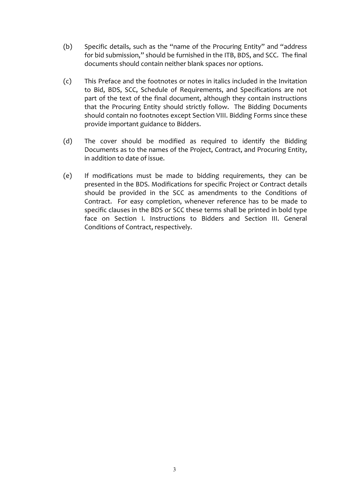- (b) Specific details, such as the "name of the Procuring Entity" and "address for bid submission," should be furnished in the ITB, BDS, and SCC. The final documents should contain neither blank spaces nor options.
- (c) This Preface and the footnotes or notes in italics included in the Invitation to Bid, BDS, SCC, Schedule of Requirements, and Specifications are not part of the text of the final document, although they contain instructions that the Procuring Entity should strictly follow. The Bidding Documents should contain no footnotes except Section VIII. Bidding Forms since these provide important guidance to Bidders.
- (d) The cover should be modified as required to identify the Bidding Documents as to the names of the Project, Contract, and Procuring Entity, in addition to date of issue.
- (e) If modifications must be made to bidding requirements, they can be presented in the BDS. Modifications for specific Project or Contract details should be provided in the SCC as amendments to the Conditions of Contract. For easy completion, whenever reference has to be made to specific clauses in the BDS or SCC these terms shall be printed in bold type face on Section I. Instructions to Bidders and Section III. General Conditions of Contract, respectively.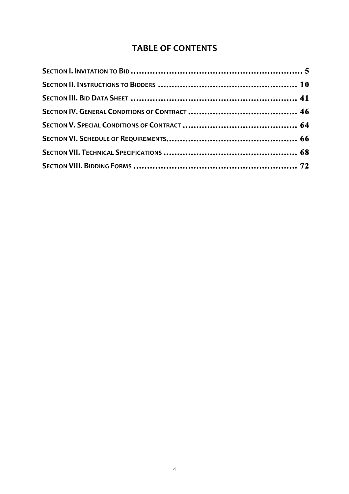#### **TABLE OF CONTENTS**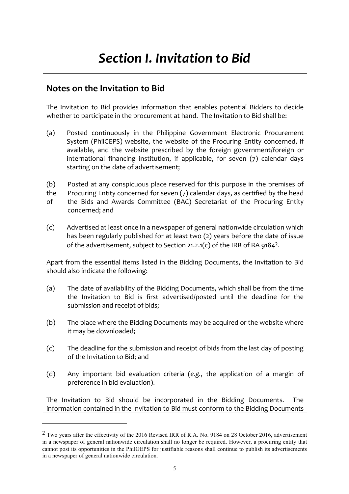# *Section I. Invitation to Bid*

### **Notes on the Invitation to Bid**

 $\overline{a}$ 

The Invitation to Bid provides information that enables potential Bidders to decide whether to participate in the procurement at hand. The Invitation to Bid shall be:

- (a) Posted continuously in the Philippine Government Electronic Procurement System (PhilGEPS) website, the website of the Procuring Entity concerned, if available, and the website prescribed by the foreign government/foreign or international financing institution, if applicable, for seven  $(7)$  calendar days starting on the date of advertisement;
- (b) Posted at any conspicuous place reserved for this purpose in the premises of
- the Procuring Entity concerned for seven  $(7)$  calendar days, as certified by the head of the Bids and Awards Committee (BAC) Secretariat of the Procuring Entity concerned; and
- (c) Advertised at least once in a newspaper of general nationwide circulation which has been regularly published for at least two (2) years before the date of issue of the advertisement, subject to Section 21.2.1(c) of the IRR of RA 9184<sup>2</sup>.

Apart from the essential items listed in the Bidding Documents, the Invitation to Bid should also indicate the following:

- (a) The date of availability of the Bidding Documents, which shall be from the time the Invitation to Bid is first advertised/posted until the deadline for the submission and receipt of bids;
- (b) The place where the Bidding Documents may be acquired or the website where it may be downloaded;
- $(c)$  The deadline for the submission and receipt of bids from the last day of posting of the Invitation to Bid; and
- (d) Any important bid evaluation criteria (e.g., the application of a margin of preference in bid evaluation).

The Invitation to Bid should be incorporated in the Bidding Documents. The information contained in the Invitation to Bid must conform to the Bidding Documents

<sup>&</sup>lt;sup>2</sup> Two years after the effectivity of the 2016 Revised IRR of R.A. No. 9184 on 28 October 2016, advertisement in a newspaper of general nationwide circulation shall no longer be required. However, a procuring entity that cannot post its opportunities in the PhilGEPS for justifiable reasons shall continue to publish its advertisements in a newspaper of general nationwide circulation.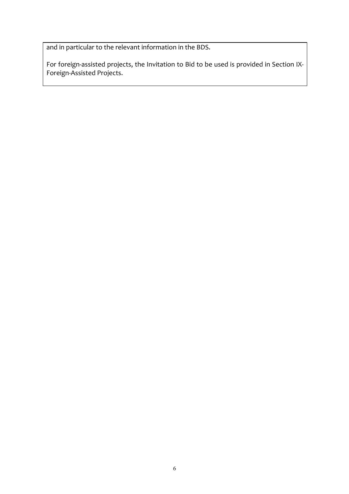and in particular to the relevant information in the BDS.

For foreign-assisted projects, the Invitation to Bid to be used is provided in Section IX-Foreign-Assisted Projects.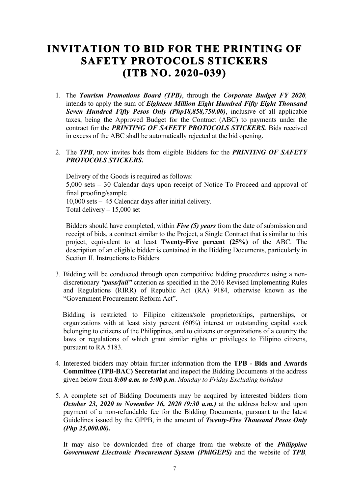## **INVITATION TO BID FOR THE PRINTING OF SAFETY PROTOCOLS STICKERS (ITB NO. 2020-039)**

- 1. The *Tourism Promotions Board (TPB)*, through the *Corporate Budget FY 2020,*  intends to apply the sum of *Eighteen Million Eight Hundred Fifty Eight Thousand Seven Hundred Fifty Pesos Only (Php18,858,750.00)*, inclusive of all applicable taxes, being the Approved Budget for the Contract (ABC) to payments under the contract for the *PRINTING OF SAFETY PROTOCOLS STICKERS.* Bids received in excess of the ABC shall be automatically rejected at the bid opening.
- 2. The *TPB*, now invites bids from eligible Bidders for the *PRINTING OF SAFETY PROTOCOLS STICKERS.*

Delivery of the Goods is required as follows: 5,000 sets – 30 Calendar days upon receipt of Notice To Proceed and approval of final proofing/sample 10,000 sets – 45 Calendar days after initial delivery. Total delivery – 15,000 set

Bidders should have completed, within *Five (5) years* from the date of submission and receipt of bids, a contract similar to the Project, a Single Contract that is similar to this project, equivalent to at least **Twenty-Five percent (25%)** of the ABC. The description of an eligible bidder is contained in the Bidding Documents, particularly in Section II. Instructions to Bidders.

3. Bidding will be conducted through open competitive bidding procedures using a nondiscretionary *"pass/fail"* criterion as specified in the 2016 Revised Implementing Rules and Regulations (RIRR) of Republic Act (RA) 9184, otherwise known as the "Government Procurement Reform Act".

 Bidding is restricted to Filipino citizens/sole proprietorships, partnerships, or organizations with at least sixty percent (60%) interest or outstanding capital stock belonging to citizens of the Philippines, and to citizens or organizations of a country the laws or regulations of which grant similar rights or privileges to Filipino citizens, pursuant to RA 5183.

- 4. Interested bidders may obtain further information from the **TPB - Bids and Awards Committee (TPB-BAC) Secretariat** and inspect the Bidding Documents at the address given below from *8:00 a.m. to 5:00 p.m. Monday to Friday Excluding holidays*
- 5. A complete set of Bidding Documents may be acquired by interested bidders from *October 23, 2020 to November 16, 2020 (9:30 a.m.)* at the address below and upon payment of a non-refundable fee for the Bidding Documents, pursuant to the latest Guidelines issued by the GPPB, in the amount of *Twenty-Five Thousand Pesos Only (Php 25,000.00).*

It may also be downloaded free of charge from the website of the *Philippine Government Electronic Procurement System (PhilGEPS)* and the website of *TPB,*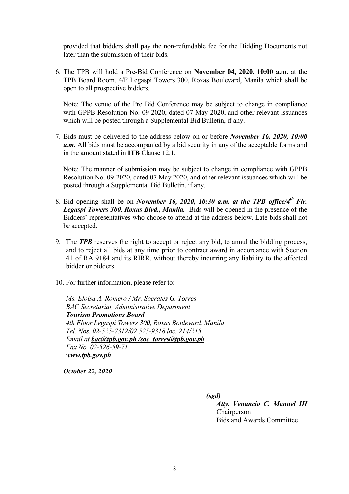provided that bidders shall pay the non-refundable fee for the Bidding Documents not later than the submission of their bids.

6. The TPB will hold a Pre-Bid Conference on **November 04, 2020, 10:00 a.m.** at the TPB Board Room, 4/F Legaspi Towers 300, Roxas Boulevard, Manila which shall be open to all prospective bidders.

Note: The venue of the Pre Bid Conference may be subject to change in compliance with GPPB Resolution No. 09-2020, dated 07 May 2020, and other relevant issuances which will be posted through a Supplemental Bid Bulletin, if any.

7. Bids must be delivered to the address below on or before *November 16, 2020, 10:00 a.m.* All bids must be accompanied by a bid security in any of the acceptable forms and in the amount stated in **ITB** Clause 12.1.

Note: The manner of submission may be subject to change in compliance with GPPB Resolution No. 09-2020, dated 07 May 2020, and other relevant issuances which will be posted through a Supplemental Bid Bulletin, if any.

- 8. Bid opening shall be on *November 16, 2020, 10:30 a.m. at the TPB office/4th Flr. Legaspi Towers 300, Roxas Blvd., Manila.* Bids will be opened in the presence of the Bidders' representatives who choose to attend at the address below. Late bids shall not be accepted.
- 9. The *TPB* reserves the right to accept or reject any bid, to annul the bidding process, and to reject all bids at any time prior to contract award in accordance with Section 41 of RA 9184 and its RIRR, without thereby incurring any liability to the affected bidder or bidders.
- 10. For further information, please refer to:

*Ms. Eloisa A. Romero / Mr. Socrates G. Torres BAC Secretariat, Administrative Department Tourism Promotions Board 4th Floor Legaspi Towers 300, Roxas Boulevard, Manila Tel. Nos. 02-525-7312/02 525-9318 loc. 214/215 Email at bac@tpb.gov.ph /soc\_torres@tpb.gov.ph Fax No. 02-526-59-71 www.tpb.gov.ph* 

*October 22, 2020* 

 $(sgd)$ 

 *Atty. Venancio C. Manuel III* Chairperson Bids and Awards Committee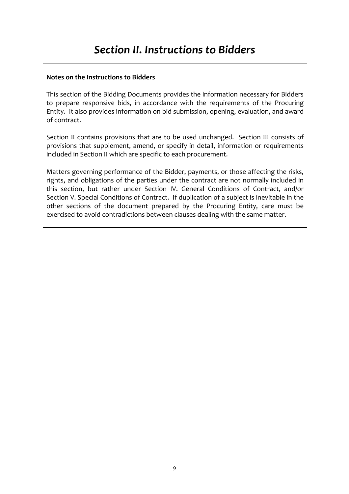#### **Notes on the Instructions to Bidders**

This section of the Bidding Documents provides the information necessary for Bidders to prepare responsive bids, in accordance with the requirements of the Procuring Entity. It also provides information on bid submission, opening, evaluation, and award of contract.

Section II contains provisions that are to be used unchanged. Section III consists of provisions that supplement, amend, or specify in detail, information or requirements included in Section II which are specific to each procurement.

Matters governing performance of the Bidder, payments, or those affecting the risks, rights, and obligations of the parties under the contract are not normally included in this section, but rather under Section IV. General Conditions of Contract, and/or Section V. Special Conditions of Contract. If duplication of a subject is inevitable in the other sections of the document prepared by the Procuring Entity, care must be exercised to avoid contradictions between clauses dealing with the same matter.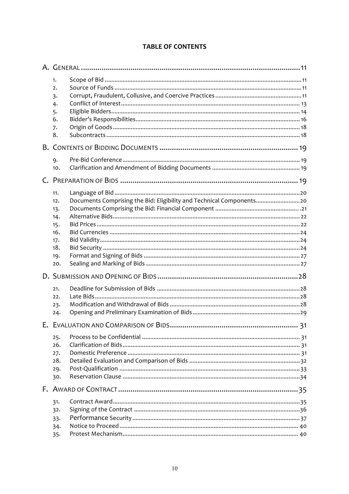#### **TABLE OF CONTENTS**

| 1.<br>2.<br>3.<br>4.<br>5.<br>6.<br>7.<br>8.                       |                                                                      |  |  |  |
|--------------------------------------------------------------------|----------------------------------------------------------------------|--|--|--|
|                                                                    |                                                                      |  |  |  |
| 9.<br>10.                                                          |                                                                      |  |  |  |
|                                                                    |                                                                      |  |  |  |
| 11.<br>12.<br>13.<br>14.<br>15.<br>16.<br>17.<br>18.<br>19.<br>20. | Documents Comprising the Bid: Eligibility and Technical Components20 |  |  |  |
|                                                                    |                                                                      |  |  |  |
| 21.<br>22.<br>23.<br>24.                                           |                                                                      |  |  |  |
|                                                                    |                                                                      |  |  |  |
| 25.<br>26.<br>27.<br>28.<br>29.<br>30.                             |                                                                      |  |  |  |
|                                                                    |                                                                      |  |  |  |
| 31.<br>32.<br>33.<br>34.<br>35.                                    |                                                                      |  |  |  |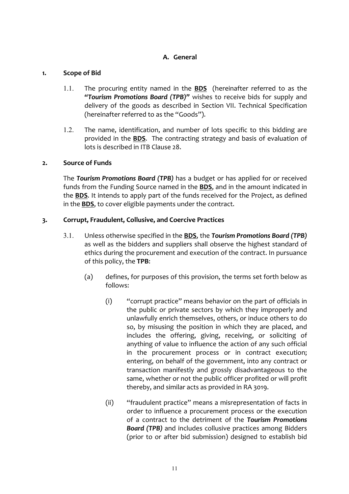#### **A. General**

#### 1. **Scope of Bid**

- 1.1. The procuring entity named in the **BDS** (hereinafter referred to as the "Tourism Promotions Board (TPB)" wishes to receive bids for supply and delivery of the goods as described in Section VII. Technical Specification (hereinafter referred to as the "Goods").
- 1.2. The name, identification, and number of lots specific to this bidding are provided in the **BDS**. The contracting strategy and basis of evaluation of lots is described in ITB Clause 28.

#### **2. Source of Funds**

The **Tourism Promotions Board (TPB)** has a budget or has applied for or received funds from the Funding Source named in the **BDS**, and in the amount indicated in the **BDS**. It intends to apply part of the funds received for the Project, as defined in the **BDS**, to cover eligible payments under the contract.

#### **3. Corrupt, Fraudulent, Collusive, and Coercive Practices**

- 3.1. Unless otherwise specified in the **BDS**, the **Tourism Promotions Board (TPB)** as well as the bidders and suppliers shall observe the highest standard of ethics during the procurement and execution of the contract. In pursuance of this policy, the TPB:
	- (a) defines, for purposes of this provision, the terms set forth below as follows:
		- $(i)$  "corrupt practice" means behavior on the part of officials in the public or private sectors by which they improperly and unlawfully enrich themselves, others, or induce others to do so, by misusing the position in which they are placed, and includes the offering, giving, receiving, or soliciting of anything of value to influence the action of any such official in the procurement process or in contract execution; entering, on behalf of the government, into any contract or transaction manifestly and grossly disadvantageous to the same, whether or not the public officer profited or will profit thereby, and similar acts as provided in RA 3019.
		- (ii) "fraudulent practice" means a misrepresentation of facts in order to influence a procurement process or the execution of a contract to the detriment of the **Tourism Promotions Board (TPB)** and includes collusive practices among Bidders (prior to or after bid submission) designed to establish bid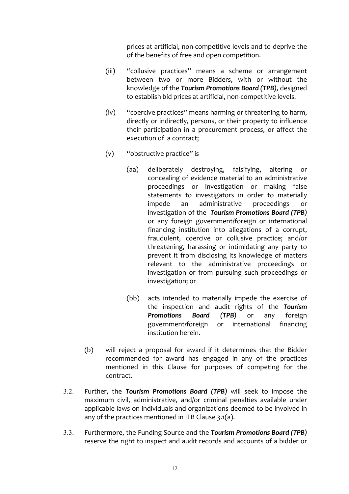prices at artificial, non-competitive levels and to deprive the of the benefits of free and open competition.

- (iii) "collusive practices" means a scheme or arrangement between two or more Bidders, with or without the knowledge of the **Tourism Promotions Board (TPB)**, designed to establish bid prices at artificial, non-competitive levels.
- (iv) "coercive practices" means harming or threatening to harm, directly or indirectly, persons, or their property to influence their participation in a procurement process, or affect the execution of a contract;
- (v) "obstructive practice" is
	- (aa) deliberately destroying, falsifying, altering or concealing of evidence material to an administrative proceedings or investigation or making false statements to investigators in order to materially impede an administrative proceedings or investigation of the Tourism Promotions Board (TPB) or any foreign government/foreign or international financing institution into allegations of a corrupt, fraudulent, coercive or collusive practice; and/or threatening, harassing or intimidating any party to prevent it from disclosing its knowledge of matters relevant to the administrative proceedings or investigation or from pursuing such proceedings or investigation; or
	- (bb) acts intended to materially impede the exercise of the inspection and audit rights of the **Tourism Promotions Board (TPB)** or any foreign government/foreign or international financing institution herein.
- (b) will reject a proposal for award if it determines that the Bidder recommended for award has engaged in any of the practices mentioned in this Clause for purposes of competing for the contract.
- 3.2. Further, the Tourism Promotions Board (TPB) will seek to impose the maximum civil, administrative, and/or criminal penalties available under applicable laws on individuals and organizations deemed to be involved in any of the practices mentioned in ITB Clause  $3.1(a)$ .
- 3.3. Furthermore, the Funding Source and the **Tourism Promotions Board (TPB)** reserve the right to inspect and audit records and accounts of a bidder or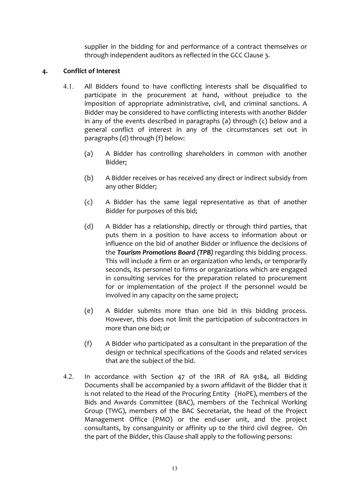supplier in the bidding for and performance of a contract themselves or through independent auditors as reflected in the GCC Clause 3.

#### **4. Conflict of Interest**

- 4.1. All Bidders found to have conflicting interests shall be disqualified to participate in the procurement at hand, without prejudice to the imposition of appropriate administrative, civil, and criminal sanctions. A Bidder may be considered to have conflicting interests with another Bidder in any of the events described in paragraphs (a) through  $(c)$  below and a general conflict of interest in any of the circumstances set out in paragraphs (d) through (f) below:
	- (a) A Bidder has controlling shareholders in common with another Bidder;
	- (b) A Bidder receives or has received any direct or indirect subsidy from any other Bidder;
	- (c) A Bidder has the same legal representative as that of another Bidder for purposes of this bid;
	- (d) A Bidder has a relationship, directly or through third parties, that puts them in a position to have access to information about or influence on the bid of another Bidder or influence the decisions of the **Tourism Promotions Board (TPB)** regarding this bidding process. This will include a firm or an organization who lends, or temporarily seconds, its personnel to firms or organizations which are engaged in consulting services for the preparation related to procurement for or implementation of the project if the personnel would be involved in any capacity on the same project;
	- (e) A Bidder submits more than one bid in this bidding process. However, this does not limit the participation of subcontractors in more than one bid; or
	- $(f)$  A Bidder who participated as a consultant in the preparation of the design or technical specifications of the Goods and related services that are the subject of the bid.
- 4.2. In accordance with Section 47 of the IRR of RA 9184, all Bidding Documents shall be accompanied by a sworn affidavit of the Bidder that it is not related to the Head of the Procuring Entity (HoPE), members of the Bids and Awards Committee (BAC), members of the Technical Working Group (TWG), members of the BAC Secretariat, the head of the Project Management Office (PMO) or the end-user unit, and the project consultants, by consanguinity or affinity up to the third civil degree. On the part of the Bidder, this Clause shall apply to the following persons: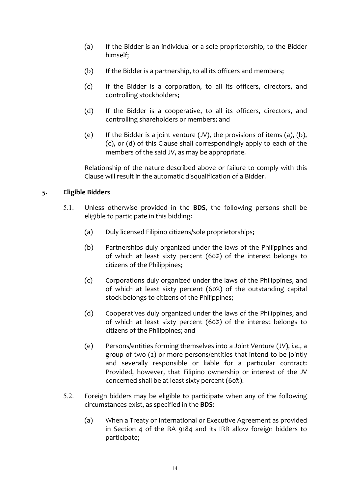- (a) If the Bidder is an individual or a sole proprietorship, to the Bidder himself;
- (b) If the Bidder is a partnership, to all its officers and members;
- (c) If the Bidder is a corporation, to all its officers, directors, and controlling stockholders;
- (d) If the Bidder is a cooperative, to all its officers, directors, and controlling shareholders or members; and
- (e) If the Bidder is a joint venture  $(JV)$ , the provisions of items  $(a)$ ,  $(b)$ , (c), or (d) of this Clause shall correspondingly apply to each of the members of the said JV, as may be appropriate.

Relationship of the nature described above or failure to comply with this Clause will result in the automatic disqualification of a Bidder.

#### **5. Eligible Bidders**

- 5.1. Unless otherwise provided in the **BDS**, the following persons shall be eligible to participate in this bidding:
	- (a) Duly licensed Filipino citizens/sole proprietorships;
	- (b) Partnerships duly organized under the laws of the Philippines and of which at least sixty percent (60%) of the interest belongs to citizens of the Philippines;
	- (c) Corporations duly organized under the laws of the Philippines, and of which at least sixty percent (60%) of the outstanding capital stock belongs to citizens of the Philippines;
	- (d) Cooperatives duly organized under the laws of the Philippines, and of which at least sixty percent (60%) of the interest belongs to citizens of the Philippines; and
	- (e) Persons/entities forming themselves into a Joint Venture (JV), *i.e.*, a group of two  $(2)$  or more persons/entities that intend to be jointly and severally responsible or liable for a particular contract: Provided, however, that Filipino ownership or interest of the JV concerned shall be at least sixty percent (60%).
- 5.2. Foreign bidders may be eligible to participate when any of the following circumstances exist, as specified in the **BDS**:
	- (a) When a Treaty or International or Executive Agreement as provided in Section 4 of the RA 9184 and its IRR allow foreign bidders to participate;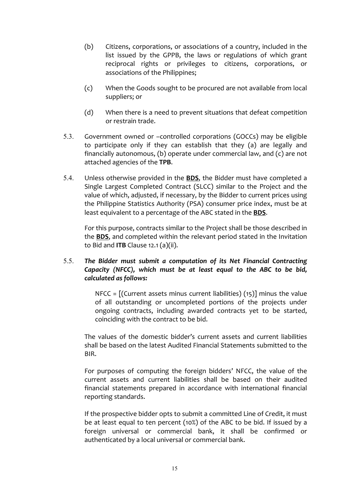- (b) Citizens, corporations, or associations of a country, included in the list issued by the GPPB, the laws or regulations of which grant reciprocal rights or privileges to citizens, corporations, or associations of the Philippines;
- (c) When the Goods sought to be procured are not available from local suppliers; or
- (d) When there is a need to prevent situations that defeat competition or restrain trade.
- 5.3. Government owned or -controlled corporations (GOCCs) may be eligible to participate only if they can establish that they (a) are legally and financially autonomous, (b) operate under commercial law, and (c) are not attached agencies of the **TPB**.
- 5.4. Unless otherwise provided in the **BDS**, the Bidder must have completed a Single Largest Completed Contract (SLCC) similar to the Project and the value of which, adjusted, if necessary, by the Bidder to current prices using the Philippine Statistics Authority (PSA) consumer price index, must be at least equivalent to a percentage of the ABC stated in the **BDS**.

For this purpose, contracts similar to the Project shall be those described in the **BDS**, and completed within the relevant period stated in the Invitation to Bid and **ITB** Clause  $12.1$  (a)(ii).

#### 5.5. The Bidder must submit a computation of its Net Financial Contracting *Capacity* (NFCC), which must be at least equal to the ABC to be bid, *calculated as follows:*

NFCC =  $[(Current assets minus current liabilities)(15)]$  minus the value of all outstanding or uncompleted portions of the projects under ongoing contracts, including awarded contracts yet to be started, coinciding with the contract to be bid.

The values of the domestic bidder's current assets and current liabilities shall be based on the latest Audited Financial Statements submitted to the BIR. 

For purposes of computing the foreign bidders' NFCC, the value of the current assets and current liabilities shall be based on their audited financial statements prepared in accordance with international financial reporting standards.

If the prospective bidder opts to submit a committed Line of Credit, it must be at least equal to ten percent (10%) of the ABC to be bid. If issued by a foreign universal or commercial bank, it shall be confirmed or authenticated by a local universal or commercial bank.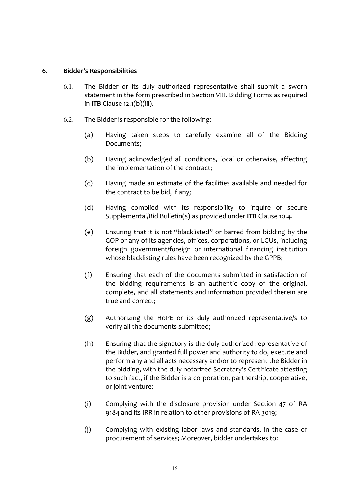#### **6. Bidder's Responsibilities**

- 6.1. The Bidder or its duly authorized representative shall submit a sworn statement in the form prescribed in Section VIII. Bidding Forms as required in **ITB** Clause 12.1(b)(iii).
- $6.2.$  The Bidder is responsible for the following:
	- (a) Having taken steps to carefully examine all of the Bidding Documents;
	- (b) Having acknowledged all conditions, local or otherwise, affecting the implementation of the contract;
	- (c) Having made an estimate of the facilities available and needed for the contract to be bid, if any;
	- (d) Having complied with its responsibility to inquire or secure Supplemental/Bid Bulletin(s) as provided under ITB Clause 10.4.
	- (e) Ensuring that it is not "blacklisted" or barred from bidding by the GOP or any of its agencies, offices, corporations, or LGUs, including foreign government/foreign or international financing institution whose blacklisting rules have been recognized by the GPPB;
	- $(f)$  Ensuring that each of the documents submitted in satisfaction of the bidding requirements is an authentic copy of the original, complete, and all statements and information provided therein are true and correct;
	- $(g)$  Authorizing the HoPE or its duly authorized representative/s to verify all the documents submitted;
	- $(h)$  Ensuring that the signatory is the duly authorized representative of the Bidder, and granted full power and authority to do, execute and perform any and all acts necessary and/or to represent the Bidder in the bidding, with the duly notarized Secretary's Certificate attesting to such fact, if the Bidder is a corporation, partnership, cooperative, or joint venture;
	- (i) Complying with the disclosure provision under Section 47 of RA 9184 and its IRR in relation to other provisions of RA 3019;
	- (j) Complying with existing labor laws and standards, in the case of procurement of services; Moreover, bidder undertakes to: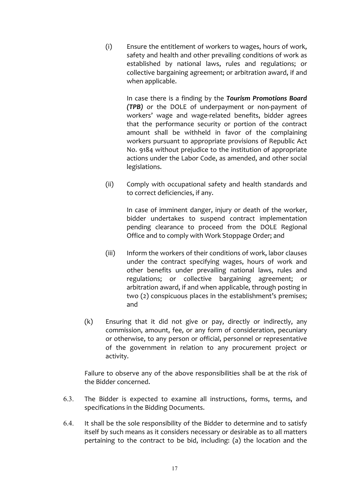$(i)$  Ensure the entitlement of workers to wages, hours of work, safety and health and other prevailing conditions of work as established by national laws, rules and regulations; or collective bargaining agreement; or arbitration award, if and when applicable.

> In case there is a finding by the **Tourism Promotions Board** *(TPB)* or the DOLE of underpayment or non-payment of workers' wage and wage-related benefits, bidder agrees that the performance security or portion of the contract amount shall be withheld in favor of the complaining workers pursuant to appropriate provisions of Republic Act No. 9184 without prejudice to the institution of appropriate actions under the Labor Code, as amended, and other social legislations.

(ii) Comply with occupational safety and health standards and to correct deficiencies, if any.

> In case of imminent danger, injury or death of the worker, bidder undertakes to suspend contract implementation pending clearance to proceed from the DOLE Regional Office and to comply with Work Stoppage Order; and

- (iii) Inform the workers of their conditions of work, labor clauses under the contract specifying wages, hours of work and other benefits under prevailing national laws, rules and regulations; or collective bargaining agreement; or arbitration award, if and when applicable, through posting in two (2) conspicuous places in the establishment's premises; and
- $(k)$  Ensuring that it did not give or pay, directly or indirectly, any commission, amount, fee, or any form of consideration, pecuniary or otherwise, to any person or official, personnel or representative of the government in relation to any procurement project or activity.

Failure to observe any of the above responsibilities shall be at the risk of the Bidder concerned.

- 6.3. The Bidder is expected to examine all instructions, forms, terms, and specifications in the Bidding Documents.
- 6.4. It shall be the sole responsibility of the Bidder to determine and to satisfy itself by such means as it considers necessary or desirable as to all matters pertaining to the contract to be bid, including: (a) the location and the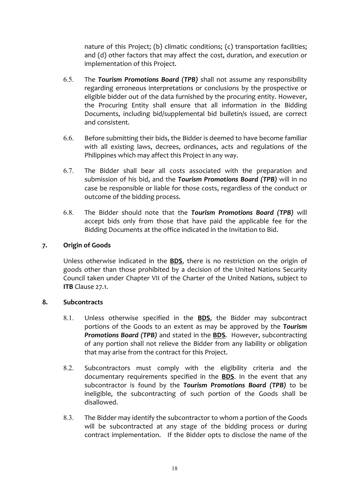nature of this Project; (b) climatic conditions; (c) transportation facilities; and (d) other factors that may affect the cost, duration, and execution or implementation of this Project.

- 6.5. The **Tourism Promotions Board (TPB)** shall not assume any responsibility regarding erroneous interpretations or conclusions by the prospective or eligible bidder out of the data furnished by the procuring entity. However, the Procuring Entity shall ensure that all information in the Bidding Documents, including bid/supplemental bid bulletin/s issued, are correct and consistent.
- 6.6. Before submitting their bids, the Bidder is deemed to have become familiar with all existing laws, decrees, ordinances, acts and regulations of the Philippines which may affect this Project in any way.
- 6.7. The Bidder shall bear all costs associated with the preparation and submission of his bid, and the *Tourism Promotions Board* (TPB) will in no case be responsible or liable for those costs, regardless of the conduct or outcome of the bidding process.
- 6.8. The Bidder should note that the **Tourism Promotions Board (TPB)** will accept bids only from those that have paid the applicable fee for the Bidding Documents at the office indicated in the Invitation to Bid.

#### **7. Origin of Goods**

Unless otherwise indicated in the **BDS**, there is no restriction on the origin of goods other than those prohibited by a decision of the United Nations Security Council taken under Chapter VII of the Charter of the United Nations, subject to **ITB** Clause 27.1.

#### **8. Subcontracts**

- 8.1. Unless otherwise specified in the **BDS**, the Bidder may subcontract portions of the Goods to an extent as may be approved by the **Tourism Promotions Board (TPB)** and stated in the **BDS**. However, subcontracting of any portion shall not relieve the Bidder from any liability or obligation that may arise from the contract for this Project.
- 8.2. Subcontractors must comply with the eligibility criteria and the documentary requirements specified in the **BDS**. In the event that any subcontractor is found by the Tourism Promotions Board (TPB) to be ineligible, the subcontracting of such portion of the Goods shall be disallowed.
- 8.3. The Bidder may identify the subcontractor to whom a portion of the Goods will be subcontracted at any stage of the bidding process or during contract implementation. If the Bidder opts to disclose the name of the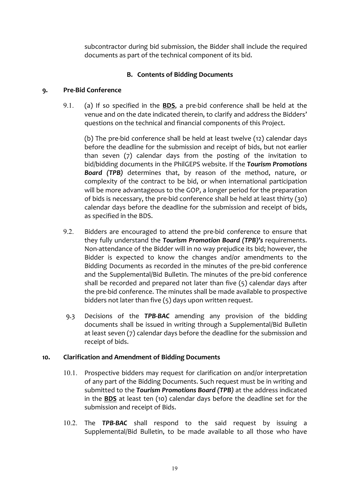subcontractor during bid submission, the Bidder shall include the required documents as part of the technical component of its bid.

#### **B. Contents of Bidding Documents**

#### **9. Pre-Bid Conference**

9.1. (a) If so specified in the **BDS**, a pre-bid conference shall be held at the venue and on the date indicated therein, to clarify and address the Bidders' questions on the technical and financial components of this Project.

(b) The pre-bid conference shall be held at least twelve  $(12)$  calendar days before the deadline for the submission and receipt of bids, but not earlier than seven  $(7)$  calendar days from the posting of the invitation to bid/bidding documents in the PhilGEPS website. If the *Tourism Promotions* **Board (TPB)** determines that, by reason of the method, nature, or complexity of the contract to be bid, or when international participation will be more advantageous to the GOP, a longer period for the preparation of bids is necessary, the pre-bid conference shall be held at least thirty  $(30)$ calendar days before the deadline for the submission and receipt of bids, as specified in the BDS.

- 9.2. Bidders are encouraged to attend the pre-bid conference to ensure that they fully understand the Tourism Promotion Board (TPB)'s requirements. Non-attendance of the Bidder will in no way prejudice its bid; however, the Bidder is expected to know the changes and/or amendments to the Bidding Documents as recorded in the minutes of the pre-bid conference and the Supplemental/Bid Bulletin. The minutes of the pre-bid conference shall be recorded and prepared not later than five  $(5)$  calendar days after the pre-bid conference. The minutes shall be made available to prospective bidders not later than five  $(5)$  days upon written request.
- 9.3 Decisions of the **TPB-BAC** amending any provision of the bidding documents shall be issued in writing through a Supplemental/Bid Bulletin at least seven (7) calendar days before the deadline for the submission and receipt of bids.

#### 10. Clarification and Amendment of Bidding Documents

- 10.1. Prospective bidders may request for clarification on and/or interpretation of any part of the Bidding Documents. Such request must be in writing and submitted to the *Tourism Promotions Board* (TPB) at the address indicated in the **BDS** at least ten (10) calendar days before the deadline set for the submission and receipt of Bids.
- 10.2. The **TPB-BAC** shall respond to the said request by issuing a Supplemental/Bid Bulletin, to be made available to all those who have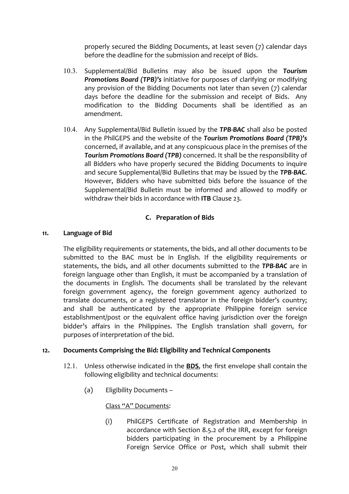properly secured the Bidding Documents, at least seven (7) calendar days before the deadline for the submission and receipt of Bids.

- 10.3. Supplemental/Bid Bulletins may also be issued upon the *Tourism*  **Promotions Board (TPB)'s** initiative for purposes of clarifying or modifying any provision of the Bidding Documents not later than seven (7) calendar days before the deadline for the submission and receipt of Bids. Any modification to the Bidding Documents shall be identified as an amendment.
- 10.4. Any Supplemental/Bid Bulletin issued by the **TPB-BAC** shall also be posted in the PhilGEPS and the website of the *Tourism Promotions Board (TPB)'s* concerned, if available, and at any conspicuous place in the premises of the **Tourism Promotions Board (TPB)** concerned. It shall be the responsibility of all Bidders who have properly secured the Bidding Documents to inquire and secure Supplemental/Bid Bulletins that may be issued by the TPB-BAC. However, Bidders who have submitted bids before the issuance of the Supplemental/Bid Bulletin must be informed and allowed to modify or withdraw their bids in accordance with ITB Clause 23.

#### **C. Preparation of Bids**

#### **11. Language of Bid**

The eligibility requirements or statements, the bids, and all other documents to be submitted to the BAC must be in English. If the eligibility requirements or statements, the bids, and all other documents submitted to the TPB-BAC are in foreign language other than English, it must be accompanied by a translation of the documents in English. The documents shall be translated by the relevant foreign government agency, the foreign government agency authorized to translate documents, or a registered translator in the foreign bidder's country; and shall be authenticated by the appropriate Philippine foreign service establishment/post or the equivalent office having jurisdiction over the foreign bidder's affairs in the Philippines. The English translation shall govern, for purposes of interpretation of the bid.

#### 12. **Documents Comprising the Bid: Eligibility and Technical Components**

- 12.1. Unless otherwise indicated in the **BDS**, the first envelope shall contain the following eligibility and technical documents:
	- (a) Eligibility Documents -

#### Class "A" Documents:

(i) PhilGEPS Certificate of Registration and Membership in accordance with Section 8.5.2 of the IRR, except for foreign bidders participating in the procurement by a Philippine Foreign Service Office or Post, which shall submit their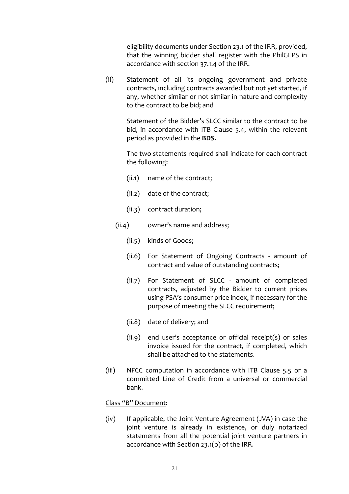eligibility documents under Section 23.1 of the IRR, provided, that the winning bidder shall register with the PhilGEPS in accordance with section 37.1.4 of the IRR.

(ii) Statement of all its ongoing government and private contracts, including contracts awarded but not yet started, if any, whether similar or not similar in nature and complexity to the contract to be bid; and

> Statement of the Bidder's SLCC similar to the contract to be bid, in accordance with ITB Clause 5.4, within the relevant period as provided in the **BDS.**

> The two statements required shall indicate for each contract the following:

- $(ii.1)$  name of the contract;
- $(ii.2)$  date of the contract;
- (ii.3) contract duration;
- $(ii.4)$  owner's name and address;
	- (ii.5) kinds of Goods;
	- (ii.6) For Statement of Ongoing Contracts amount of contract and value of outstanding contracts;
	- (ii.7) For Statement of SLCC amount of completed contracts, adjusted by the Bidder to current prices using PSA's consumer price index, if necessary for the purpose of meeting the SLCC requirement;
	- $(ii.8)$  date of delivery; and
	- $(ii.9)$  end user's acceptance or official receipt(s) or sales invoice issued for the contract, if completed, which shall be attached to the statements.
- (iii) NFCC computation in accordance with ITB Clause 5.5 or a committed Line of Credit from a universal or commercial bank.

#### Class "B" Document:

(iv) If applicable, the Joint Venture Agreement (JVA) in case the joint venture is already in existence, or duly notarized statements from all the potential joint venture partners in accordance with Section 23.1(b) of the IRR.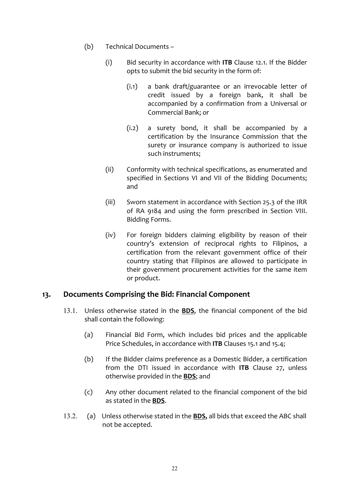- (b) Technical Documents
	- (i) Bid security in accordance with **ITB** Clause 12.1. If the Bidder opts to submit the bid security in the form of:
		- $(i.1)$  a bank draft/guarantee or an irrevocable letter of credit issued by a foreign bank, it shall be accompanied by a confirmation from a Universal or Commercial Bank; or
		- $(i.2)$  a surety bond, it shall be accompanied by a certification by the Insurance Commission that the surety or insurance company is authorized to issue such instruments;
	- (ii) Conformity with technical specifications, as enumerated and specified in Sections VI and VII of the Bidding Documents; and
	- (iii) Sworn statement in accordance with Section 25.3 of the IRR of RA 9184 and using the form prescribed in Section VIII. Bidding Forms.
	- $(iv)$  For foreign bidders claiming eligibility by reason of their country's extension of reciprocal rights to Filipinos, a certification from the relevant government office of their country stating that Filipinos are allowed to participate in their government procurement activities for the same item or product.

#### 13. **Documents Comprising the Bid: Financial Component**

- 13.1. Unless otherwise stated in the **BDS**, the financial component of the bid shall contain the following:
	- (a) Financial Bid Form, which includes bid prices and the applicable Price Schedules, in accordance with **ITB** Clauses 15.1 and 15.4;
	- (b) If the Bidder claims preference as a Domestic Bidder, a certification from the DTI issued in accordance with ITB Clause 27, unless otherwise provided in the **BDS**; and
	- (c) Any other document related to the financial component of the bid as stated in the **BDS**.
- 13.2. (a) Unless otherwise stated in the **BDS**, all bids that exceed the ABC shall not be accepted.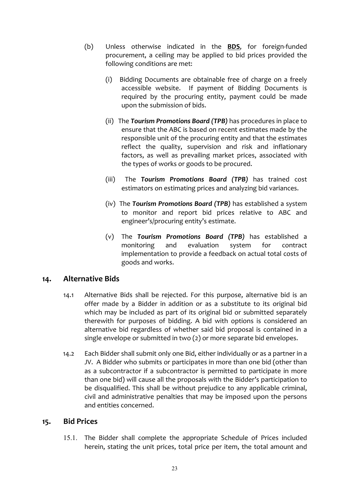- (b) Unless otherwise indicated in the **BDS**, for foreign-funded procurement, a ceiling may be applied to bid prices provided the following conditions are met:
	- (i) Bidding Documents are obtainable free of charge on a freely accessible website. If payment of Bidding Documents is required by the procuring entity, payment could be made upon the submission of bids.
	- (ii) The **Tourism Promotions Board (TPB)** has procedures in place to ensure that the ABC is based on recent estimates made by the responsible unit of the procuring entity and that the estimates reflect the quality, supervision and risk and inflationary factors, as well as prevailing market prices, associated with the types of works or goods to be procured.
	- (iii) The **Tourism Promotions Board (TPB)** has trained cost estimators on estimating prices and analyzing bid variances.
	- (iv) The **Tourism Promotions Board (TPB)** has established a system to monitor and report bid prices relative to ABC and engineer's/procuring entity's estimate.
	- (v) The *Tourism Promotions Board (TPB)* has established a monitoring and evaluation system for contract implementation to provide a feedback on actual total costs of goods and works.

#### **14. Alternative Bids**

- 14.1 Alternative Bids shall be rejected. For this purpose, alternative bid is an offer made by a Bidder in addition or as a substitute to its original bid which may be included as part of its original bid or submitted separately therewith for purposes of bidding. A bid with options is considered an alternative bid regardless of whether said bid proposal is contained in a single envelope or submitted in two (2) or more separate bid envelopes.
- 14.2 Each Bidder shall submit only one Bid, either individually or as a partner in a JV. A Bidder who submits or participates in more than one bid (other than as a subcontractor if a subcontractor is permitted to participate in more than one bid) will cause all the proposals with the Bidder's participation to be disqualified. This shall be without prejudice to any applicable criminal, civil and administrative penalties that may be imposed upon the persons and entities concerned.

#### **15. Bid Prices**

15.1. The Bidder shall complete the appropriate Schedule of Prices included herein, stating the unit prices, total price per item, the total amount and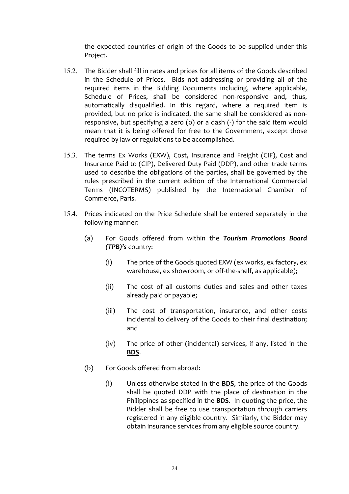the expected countries of origin of the Goods to be supplied under this Project.

- 15.2. The Bidder shall fill in rates and prices for all items of the Goods described in the Schedule of Prices. Bids not addressing or providing all of the required items in the Bidding Documents including, where applicable, Schedule of Prices, shall be considered non-responsive and, thus, automatically disqualified. In this regard, where a required item is provided, but no price is indicated, the same shall be considered as nonresponsive, but specifying a zero (0) or a dash (-) for the said item would mean that it is being offered for free to the Government, except those required by law or regulations to be accomplished.
- 15.3. The terms Ex Works (EXW), Cost, Insurance and Freight (CIF), Cost and Insurance Paid to (CIP), Delivered Duty Paid (DDP), and other trade terms used to describe the obligations of the parties, shall be governed by the rules prescribed in the current edition of the International Commercial Terms (INCOTERMS) published by the International Chamber of Commerce, Paris.
- 15.4. Prices indicated on the Price Schedule shall be entered separately in the following manner:
	- (a) For Goods offered from within the **Tourism Promotions Board** *(TPB)'s* country:
		- (i) The price of the Goods quoted EXW (ex works, ex factory, ex warehouse, ex showroom, or off-the-shelf, as applicable);
		- (ii) The cost of all customs duties and sales and other taxes already paid or payable;
		- (iii) The cost of transportation, insurance, and other costs incidental to delivery of the Goods to their final destination; and
		- $(iv)$  The price of other (incidental) services, if any, listed in the **BDS**.
	- (b) For Goods offered from abroad:
		- (i) Unless otherwise stated in the **BDS**, the price of the Goods shall be quoted DDP with the place of destination in the Philippines as specified in the **BDS**. In quoting the price, the Bidder shall be free to use transportation through carriers registered in any eligible country. Similarly, the Bidder may obtain insurance services from any eligible source country.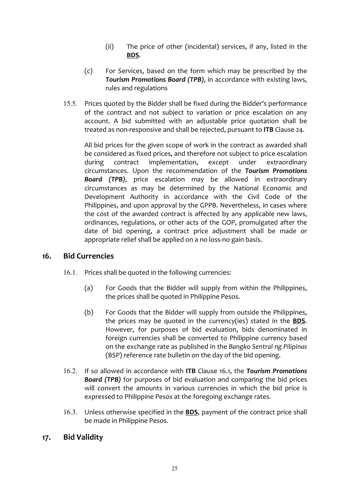- (ii) The price of other (incidental) services, if any, listed in the **BDS**.
- (c) For Services, based on the form which may be prescribed by the **Tourism Promotions Board (TPB)**, in accordance with existing laws, rules and regulations
- 15.5. Prices quoted by the Bidder shall be fixed during the Bidder's performance of the contract and not subject to variation or price escalation on any account. A bid submitted with an adjustable price quotation shall be treated as non-responsive and shall be rejected, pursuant to **ITB** Clause 24.

All bid prices for the given scope of work in the contract as awarded shall be considered as fixed prices, and therefore not subject to price escalation during contract implementation, except under extraordinary circumstances. Upon the recommendation of the *Tourism Promotions*  **Board (TPB)**, price escalation may be allowed in extraordinary circumstances as may be determined by the National Economic and Development Authority in accordance with the Civil Code of the Philippines, and upon approval by the GPPB. Nevertheless, in cases where the cost of the awarded contract is affected by any applicable new laws, ordinances, regulations, or other acts of the GOP, promulgated after the date of bid opening, a contract price adjustment shall be made or appropriate relief shall be applied on a no loss-no gain basis.

#### **16. Bid Currencies**

- 16.1. Prices shall be quoted in the following currencies:
	- (a) For Goods that the Bidder will supply from within the Philippines, the prices shall be quoted in Philippine Pesos.
	- (b) For Goods that the Bidder will supply from outside the Philippines, the prices may be quoted in the currency(ies) stated in the **BDS**. However, for purposes of bid evaluation, bids denominated in foreign currencies shall be converted to Philippine currency based on the exchange rate as published in the Bangko Sentral ng Pilipinas (BSP) reference rate bulletin on the day of the bid opening.
- 16.2. If so allowed in accordance with **ITB** Clause 16.1, the **Tourism Promotions Board (TPB)** for purposes of bid evaluation and comparing the bid prices will convert the amounts in various currencies in which the bid price is expressed to Philippine Pesos at the foregoing exchange rates.
- 16.3. Unless otherwise specified in the **BDS**, payment of the contract price shall be made in Philippine Pesos.

#### **17. Bid Validity**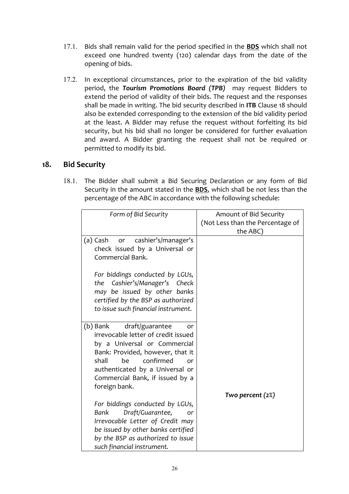- 17.1. Bids shall remain valid for the period specified in the **BDS** which shall not exceed one hundred twenty (120) calendar days from the date of the opening of bids.
- 17.2. In exceptional circumstances, prior to the expiration of the bid validity period, the **Tourism Promotions Board (TPB)** may request Bidders to extend the period of validity of their bids. The request and the responses shall be made in writing. The bid security described in ITB Clause 18 should also be extended corresponding to the extension of the bid validity period at the least. A Bidder may refuse the request without forfeiting its bid security, but his bid shall no longer be considered for further evaluation and award. A Bidder granting the request shall not be required or permitted to modify its bid.

#### **18. Bid Security**

18.1. The Bidder shall submit a Bid Securing Declaration or any form of Bid Security in the amount stated in the **BDS**, which shall be not less than the percentage of the ABC in accordance with the following schedule:

| Form of Bid Security                                                                                                                                                                                                                                                  | Amount of Bid Security<br>(Not Less than the Percentage of<br>the ABC) |
|-----------------------------------------------------------------------------------------------------------------------------------------------------------------------------------------------------------------------------------------------------------------------|------------------------------------------------------------------------|
| (a) Cash or cashier's/manager's<br>check issued by a Universal or<br>Commercial Bank.                                                                                                                                                                                 |                                                                        |
| For biddings conducted by LGUs,<br>the Cashier's/Manager's Check<br>may be issued by other banks<br>certified by the BSP as authorized<br>to issue such financial instrument.                                                                                         |                                                                        |
| (b) Bank<br>draft/guarantee<br>or<br>irrevocable letter of credit issued<br>by a Universal or Commercial<br>Bank: Provided, however, that it<br>confirmed<br>be<br>shall<br>or<br>authenticated by a Universal or<br>Commercial Bank, if issued by a<br>foreign bank. | Two percent $(2\%)$                                                    |
| For biddings conducted by LGUs,<br>Draft/Guarantee,<br>Bank<br>or<br>Irrevocable Letter of Credit may<br>be issued by other banks certified<br>by the BSP as authorized to issue<br>such financial instrument.                                                        |                                                                        |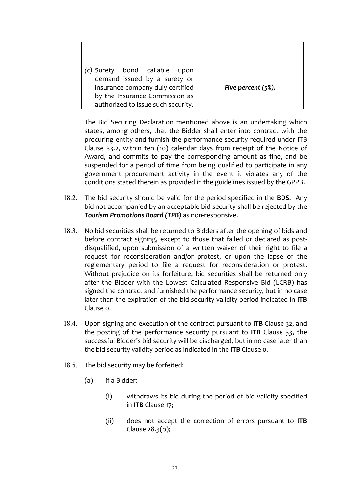| (c) Surety bond callable<br>upon   |                        |
|------------------------------------|------------------------|
| demand issued by a surety or       |                        |
| insurance company duly certified   | Five percent $(5\%)$ . |
| by the Insurance Commission as     |                        |
| authorized to issue such security. |                        |

The Bid Securing Declaration mentioned above is an undertaking which states, among others, that the Bidder shall enter into contract with the procuring entity and furnish the performance security required under ITB Clause 33.2, within ten (10) calendar days from receipt of the Notice of Award, and commits to pay the corresponding amount as fine, and be suspended for a period of time from being qualified to participate in any government procurement activity in the event it violates any of the conditions stated therein as provided in the guidelines issued by the GPPB.

- 18.2. The bid security should be valid for the period specified in the **BDS**. Any bid not accompanied by an acceptable bid security shall be rejected by the **Tourism Promotions Board (TPB)** as non-responsive.
- 18.3. No bid securities shall be returned to Bidders after the opening of bids and before contract signing, except to those that failed or declared as postdisqualified, upon submission of a written waiver of their right to file a request for reconsideration and/or protest, or upon the lapse of the reglementary period to file a request for reconsideration or protest. Without prejudice on its forfeiture, bid securities shall be returned only after the Bidder with the Lowest Calculated Responsive Bid (LCRB) has signed the contract and furnished the performance security, but in no case later than the expiration of the bid security validity period indicated in **ITB** Clause o.
- 18.4. Upon signing and execution of the contract pursuant to ITB Clause 32, and the posting of the performance security pursuant to **ITB** Clause 33, the successful Bidder's bid security will be discharged, but in no case later than the bid security validity period as indicated in the ITB Clause o.
- 18.5. The bid security may be forfeited:
	- (a) if a Bidder:
		- (i) withdraws its bid during the period of bid validity specified in **ITB** Clause 17;
		- (ii) does not accept the correction of errors pursuant to **ITB** Clause  $28.3(b)$ ;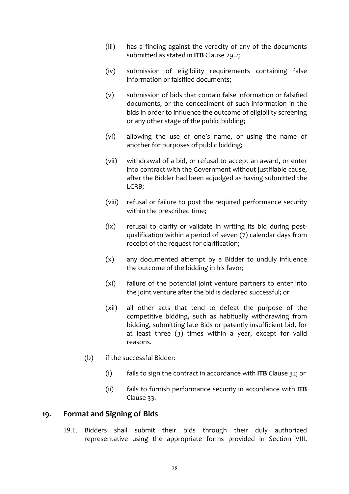- (iii) has a finding against the veracity of any of the documents submitted as stated in **ITB** Clause 29.2;
- (iv) submission of eligibility requirements containing false information or falsified documents;
- $(v)$  submission of bids that contain false information or falsified documents, or the concealment of such information in the bids in order to influence the outcome of eligibility screening or any other stage of the public bidding;
- (vi) allowing the use of one's name, or using the name of another for purposes of public bidding;
- (vii) withdrawal of a bid, or refusal to accept an award, or enter into contract with the Government without justifiable cause, after the Bidder had been adjudged as having submitted the LCRB;
- (viii) refusal or failure to post the required performance security within the prescribed time;
- (ix) refusal to clarify or validate in writing its bid during postqualification within a period of seven (7) calendar days from receipt of the request for clarification;
- $(x)$  any documented attempt by a Bidder to unduly influence the outcome of the bidding in his favor;
- $(xi)$  failure of the potential joint venture partners to enter into the joint venture after the bid is declared successful; or
- (xii) all other acts that tend to defeat the purpose of the competitive bidding, such as habitually withdrawing from bidding, submitting late Bids or patently insufficient bid, for at least three  $(3)$  times within a year, except for valid reasons.
- $(b)$  if the successful Bidder:
	- (i) fails to sign the contract in accordance with **ITB** Clause 32; or
	- (ii) fails to furnish performance security in accordance with **ITB** Clause 33.

#### 19. Format and Signing of Bids

19.1. Bidders shall submit their bids through their duly authorized representative using the appropriate forms provided in Section VIII.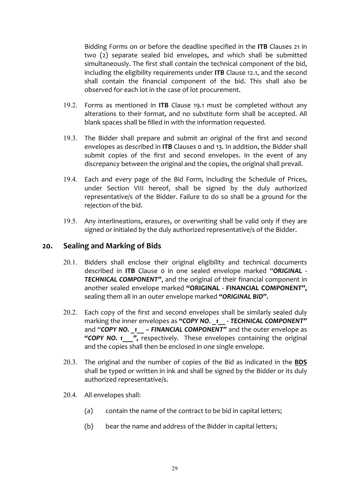Bidding Forms on or before the deadline specified in the **ITB** Clauses 21 in two (2) separate sealed bid envelopes, and which shall be submitted simultaneously. The first shall contain the technical component of the bid, including the eligibility requirements under ITB Clause 12.1, and the second shall contain the financial component of the bid. This shall also be observed for each lot in the case of lot procurement.

- 19.2. Forms as mentioned in ITB Clause 19.1 must be completed without any alterations to their format, and no substitute form shall be accepted. All blank spaces shall be filled in with the information requested.
- 19.3. The Bidder shall prepare and submit an original of the first and second envelopes as described in **ITB** Clauses o and 13. In addition, the Bidder shall submit copies of the first and second envelopes. In the event of any discrepancy between the original and the copies, the original shall prevail.
- 19.4. Each and every page of the Bid Form, including the Schedule of Prices, under Section VIII hereof, shall be signed by the duly authorized representative/s of the Bidder. Failure to do so shall be a ground for the rejection of the bid.
- 19.5. Any interlineations, erasures, or overwriting shall be valid only if they are signed or initialed by the duly authorized representative/s of the Bidder.

#### **20. Sealing and Marking of Bids**

- 20.1. Bidders shall enclose their original eligibility and technical documents described in ITB Clause o in one sealed envelope marked "ORIGINAL -**TECHNICAL COMPONENT"**, and the original of their financial component in another sealed envelope marked "ORIGINAL - FINANCIAL COMPONENT", sealing them all in an outer envelope marked "ORIGINAL BID".
- 20.2. Each copy of the first and second envelopes shall be similarly sealed duly marking the inner envelopes as "COPY NO. 1 - **TECHNICAL COMPONENT"** and "**COPY NO.** 1 - FINANCIAL COMPONENT" and the outer envelope as "COPY NO. 1  $\blacksquare$ , respectively. These envelopes containing the original and the copies shall then be enclosed in one single envelope.
- 20.3. The original and the number of copies of the Bid as indicated in the **BDS** shall be typed or written in ink and shall be signed by the Bidder or its duly authorized representative/s.
- 20.4. All envelopes shall:
	- $(a)$  contain the name of the contract to be bid in capital letters;
	- (b) bear the name and address of the Bidder in capital letters;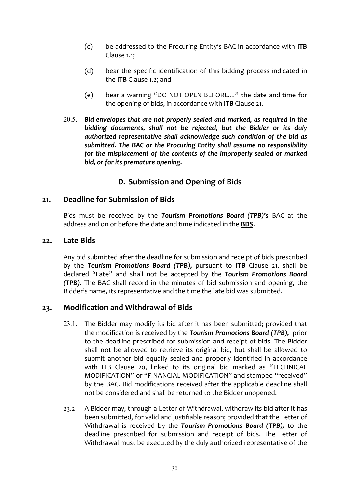- (c) be addressed to the Procuring Entity's BAC in accordance with **ITB** Clause 1.1:
- (d) bear the specific identification of this bidding process indicated in the **ITB** Clause 1.2; and
- (e) bear a warning "DO NOT OPEN BEFORE..." the date and time for the opening of bids, in accordance with ITB Clause 21.
- 20.5. *Bid envelopes that are not properly sealed and marked, as required in the* bidding documents, shall not be rejected, but the Bidder or its duly authorized representative shall acknowledge such condition of the bid as submitted. The BAC or the Procuring Entity shall assume no responsibility *for the misplacement of the contents of the improperly sealed or marked* bid, or for its premature opening.

#### **D. Submission and Opening of Bids**

#### 21. **Deadline for Submission of Bids**

Bids must be received by the **Tourism Promotions Board (TPB)'s** BAC at the address and on or before the date and time indicated in the **BDS**.

#### **22. Late Bids**

Any bid submitted after the deadline for submission and receipt of bids prescribed by the **Tourism Promotions Board (TPB),** pursuant to ITB Clause 21, shall be declared "Late" and shall not be accepted by the **Tourism Promotions Board** *(TPB)*. The BAC shall record in the minutes of bid submission and opening, the Bidder's name, its representative and the time the late bid was submitted.

#### **23. Modification and Withdrawal of Bids**

- 23.1. The Bidder may modify its bid after it has been submitted; provided that the modification is received by the **Tourism Promotions Board (TPB)**, prior to the deadline prescribed for submission and receipt of bids. The Bidder shall not be allowed to retrieve its original bid, but shall be allowed to submit another bid equally sealed and properly identified in accordance with ITB Clause 20, linked to its original bid marked as "TECHNICAL MODIFICATION" or "FINANCIAL MODIFICATION" and stamped "received" by the BAC. Bid modifications received after the applicable deadline shall not be considered and shall be returned to the Bidder unopened.
- 23.2 A Bidder may, through a Letter of Withdrawal, withdraw its bid after it has been submitted, for valid and justifiable reason; provided that the Letter of Withdrawal is received by the **Tourism Promotions Board (TPB)**, to the deadline prescribed for submission and receipt of bids. The Letter of Withdrawal must be executed by the duly authorized representative of the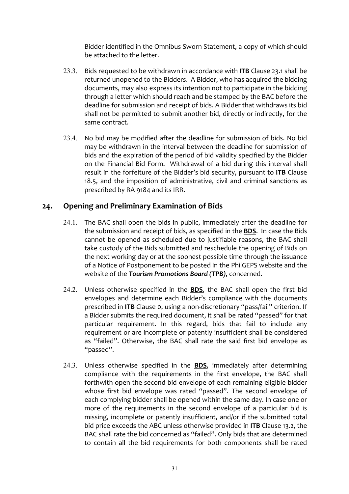Bidder identified in the Omnibus Sworn Statement, a copy of which should be attached to the letter.

- 23.3. Bids requested to be withdrawn in accordance with **ITB** Clause 23.1 shall be returned unopened to the Bidders. A Bidder, who has acquired the bidding documents, may also express its intention not to participate in the bidding through a letter which should reach and be stamped by the BAC before the deadline for submission and receipt of bids. A Bidder that withdraws its bid shall not be permitted to submit another bid, directly or indirectly, for the same contract.
- 23.4. No bid may be modified after the deadline for submission of bids. No bid may be withdrawn in the interval between the deadline for submission of bids and the expiration of the period of bid validity specified by the Bidder on the Financial Bid Form. Withdrawal of a bid during this interval shall result in the forfeiture of the Bidder's bid security, pursuant to ITB Clause 18.5, and the imposition of administrative, civil and criminal sanctions as prescribed by RA 9184 and its IRR.

#### 24. Opening and Preliminary Examination of Bids

- 24.1. The BAC shall open the bids in public, immediately after the deadline for the submission and receipt of bids, as specified in the **BDS**. In case the Bids cannot be opened as scheduled due to justifiable reasons, the BAC shall take custody of the Bids submitted and reschedule the opening of Bids on the next working day or at the soonest possible time through the issuance of a Notice of Postponement to be posted in the PhilGEPS website and the website of the *Tourism Promotions Board (TPB)*, concerned.
- 24.2. Unless otherwise specified in the **BDS**, the BAC shall open the first bid envelopes and determine each Bidder's compliance with the documents prescribed in ITB Clause o, using a non-discretionary "pass/fail" criterion. If a Bidder submits the required document, it shall be rated "passed" for that particular requirement. In this regard, bids that fail to include any requirement or are incomplete or patently insufficient shall be considered as "failed". Otherwise, the BAC shall rate the said first bid envelope as "passed".
- 24.3. Unless otherwise specified in the **BDS**, immediately after determining compliance with the requirements in the first envelope, the BAC shall forthwith open the second bid envelope of each remaining eligible bidder whose first bid envelope was rated "passed". The second envelope of each complying bidder shall be opened within the same day. In case one or more of the requirements in the second envelope of a particular bid is missing, incomplete or patently insufficient, and/or if the submitted total bid price exceeds the ABC unless otherwise provided in ITB Clause 13.2, the BAC shall rate the bid concerned as "failed". Only bids that are determined to contain all the bid requirements for both components shall be rated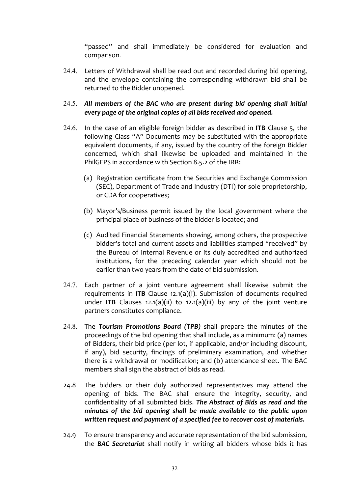"passed" and shall immediately be considered for evaluation and comparison.

24.4. Letters of Withdrawal shall be read out and recorded during bid opening, and the envelope containing the corresponding withdrawn bid shall be returned to the Bidder unopened.

#### 24.5. All members of the BAC who are present during bid opening shall initial *every* page of the original copies of all bids received and opened.

- 24.6. In the case of an eligible foreign bidder as described in **ITB** Clause  $5$ , the following Class "A" Documents may be substituted with the appropriate equivalent documents, if any, issued by the country of the foreign Bidder concerned, which shall likewise be uploaded and maintained in the PhilGEPS in accordance with Section 8.5.2 of the IRR:
	- (a) Registration certificate from the Securities and Exchange Commission (SEC), Department of Trade and Industry (DTI) for sole proprietorship, or CDA for cooperatives;
	- (b) Mayor's/Business permit issued by the local government where the principal place of business of the bidder is located; and
	- (c) Audited Financial Statements showing, among others, the prospective bidder's total and current assets and liabilities stamped "received" by the Bureau of Internal Revenue or its duly accredited and authorized institutions, for the preceding calendar year which should not be earlier than two years from the date of bid submission.
- 24.7. Each partner of a joint venture agreement shall likewise submit the requirements in **ITB** Clause  $12.1(a)(i)$ . Submission of documents required under **ITB** Clauses  $12.1(a)(ii)$  to  $12.1(a)(iii)$  by any of the joint venture partners constitutes compliance.
- 24.8. The **Tourism Promotions Board (TPB)** shall prepare the minutes of the proceedings of the bid opening that shall include, as a minimum: (a) names of Bidders, their bid price (per lot, if applicable, and/or including discount, if any), bid security, findings of preliminary examination, and whether there is a withdrawal or modification; and (b) attendance sheet. The BAC members shall sign the abstract of bids as read.
- 24.8 The bidders or their duly authorized representatives may attend the opening of bids. The BAC shall ensure the integrity, security, and confidentiality of all submitted bids. The Abstract of Bids as read and the *minutes* of the bid opening shall be made available to the public upon written request and payment of a specified fee to recover cost of materials.
- 24.9 To ensure transparency and accurate representation of the bid submission, the **BAC Secretariat** shall notify in writing all bidders whose bids it has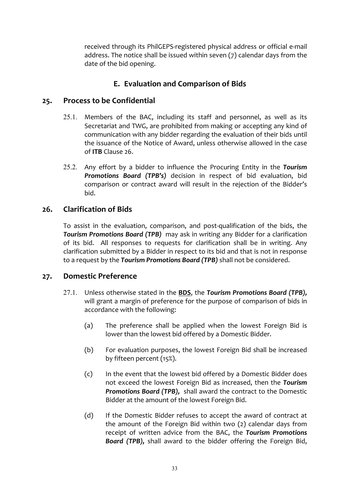received through its PhilGEPS-registered physical address or official e-mail address. The notice shall be issued within seven  $(7)$  calendar days from the date of the bid opening.

#### **E. Evaluation and Comparison of Bids**

#### 25. Process to be Confidential

- 25.1. Members of the BAC, including its staff and personnel, as well as its Secretariat and TWG, are prohibited from making or accepting any kind of communication with any bidder regarding the evaluation of their bids until the issuance of the Notice of Award, unless otherwise allowed in the case of **ITB** Clause 26.
- 25.2. Any effort by a bidder to influence the Procuring Entity in the Tourism **Promotions Board (TPB's)** decision in respect of bid evaluation, bid comparison or contract award will result in the rejection of the Bidder's bid.

#### 26. **Clarification of Bids**

To assist in the evaluation, comparison, and post-qualification of the bids, the **Tourism Promotions Board (TPB)** may ask in writing any Bidder for a clarification of its bid. All responses to requests for clarification shall be in writing. Any clarification submitted by a Bidder in respect to its bid and that is not in response to a request by the *Tourism Promotions Board (TPB)* shall not be considered.

#### **27. Domestic Preference**

- 27.1. Unless otherwise stated in the **BDS**, the **Tourism Promotions Board (TPB)**, will grant a margin of preference for the purpose of comparison of bids in accordance with the following:
	- (a) The preference shall be applied when the lowest Foreign Bid is lower than the lowest bid offered by a Domestic Bidder.
	- (b) For evaluation purposes, the lowest Foreign Bid shall be increased by fifteen percent (15%).
	- (c) In the event that the lowest bid offered by a Domestic Bidder does not exceed the lowest Foreign Bid as increased, then the *Tourism* **Promotions Board (TPB),** shall award the contract to the Domestic Bidder at the amount of the lowest Foreign Bid.
	- (d) If the Domestic Bidder refuses to accept the award of contract at the amount of the Foreign Bid within two  $(2)$  calendar days from receipt of written advice from the BAC, the Tourism Promotions **Board (TPB),** shall award to the bidder offering the Foreign Bid,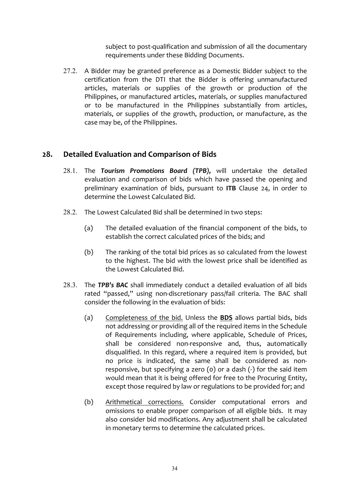subject to post-qualification and submission of all the documentary requirements under these Bidding Documents.

27.2. A Bidder may be granted preference as a Domestic Bidder subject to the certification from the DTI that the Bidder is offering unmanufactured articles, materials or supplies of the growth or production of the Philippines, or manufactured articles, materials, or supplies manufactured or to be manufactured in the Philippines substantially from articles, materials, or supplies of the growth, production, or manufacture, as the case may be, of the Philippines.

#### 28. **Detailed Evaluation and Comparison of Bids**

- 28.1. The **Tourism Promotions Board (TPB),** will undertake the detailed evaluation and comparison of bids which have passed the opening and preliminary examination of bids, pursuant to ITB Clause 24, in order to determine the Lowest Calculated Bid.
- 28.2. The Lowest Calculated Bid shall be determined in two steps:
	- (a) The detailed evaluation of the financial component of the bids, to establish the correct calculated prices of the bids; and
	- (b) The ranking of the total bid prices as so calculated from the lowest to the highest. The bid with the lowest price shall be identified as the Lowest Calculated Bid.
- 28.3. The **TPB's BAC** shall immediately conduct a detailed evaluation of all bids rated "passed," using non-discretionary pass/fail criteria. The BAC shall consider the following in the evaluation of bids:
	- (a) Completeness of the bid. Unless the **BDS** allows partial bids, bids not addressing or providing all of the required items in the Schedule of Requirements including, where applicable, Schedule of Prices, shall be considered non-responsive and, thus, automatically disqualified. In this regard, where a required item is provided, but no price is indicated, the same shall be considered as nonresponsive, but specifying a zero (0) or a dash (-) for the said item would mean that it is being offered for free to the Procuring Entity, except those required by law or regulations to be provided for; and
	- (b) Arithmetical corrections. Consider computational errors and omissions to enable proper comparison of all eligible bids. It may also consider bid modifications. Any adjustment shall be calculated in monetary terms to determine the calculated prices.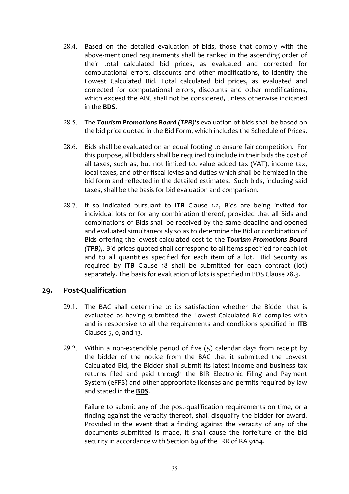- 28.4. Based on the detailed evaluation of bids, those that comply with the above-mentioned requirements shall be ranked in the ascending order of their total calculated bid prices, as evaluated and corrected for computational errors, discounts and other modifications, to identify the Lowest Calculated Bid. Total calculated bid prices, as evaluated and corrected for computational errors, discounts and other modifications, which exceed the ABC shall not be considered, unless otherwise indicated in the **BDS**.
- 28.5. The **Tourism Promotions Board (TPB)'s** evaluation of bids shall be based on the bid price quoted in the Bid Form, which includes the Schedule of Prices.
- 28.6. Bids shall be evaluated on an equal footing to ensure fair competition. For this purpose, all bidders shall be required to include in their bids the cost of all taxes, such as, but not limited to, value added tax (VAT), income tax, local taxes, and other fiscal levies and duties which shall be itemized in the bid form and reflected in the detailed estimates. Such bids, including said taxes, shall be the basis for bid evaluation and comparison.
- 28.7. If so indicated pursuant to **ITB** Clause 1.2, Bids are being invited for individual lots or for any combination thereof, provided that all Bids and combinations of Bids shall be received by the same deadline and opened and evaluated simultaneously so as to determine the Bid or combination of Bids offering the lowest calculated cost to the Tourism Promotions Board *(TPB)*. Bid prices quoted shall correspond to all items specified for each lot and to all quantities specified for each item of a lot. Bid Security as required by **ITB** Clause 18 shall be submitted for each contract (lot) separately. The basis for evaluation of lots is specified in BDS Clause 28.3.

#### **29. Post-Qualification**

- $29.1$ . The BAC shall determine to its satisfaction whether the Bidder that is evaluated as having submitted the Lowest Calculated Bid complies with and is responsive to all the requirements and conditions specified in ITB Clauses  $5$ ,  $0$ , and  $13$ .
- 29.2. Within a non-extendible period of five  $(5)$  calendar days from receipt by the bidder of the notice from the BAC that it submitted the Lowest Calculated Bid, the Bidder shall submit its latest income and business tax returns filed and paid through the BIR Electronic Filing and Payment System (eFPS) and other appropriate licenses and permits required by law and stated in the **BDS**.

Failure to submit any of the post-qualification requirements on time, or a finding against the veracity thereof, shall disqualify the bidder for award. Provided in the event that a finding against the veracity of any of the documents submitted is made, it shall cause the forfeiture of the bid security in accordance with Section 69 of the IRR of RA 9184.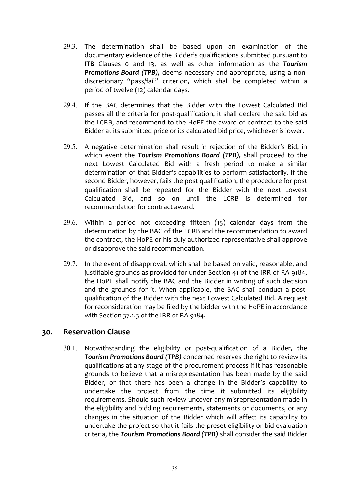- 29.3. The determination shall be based upon an examination of the documentary evidence of the Bidder's qualifications submitted pursuant to **ITB** Clauses o and 13, as well as other information as the **Tourism Promotions Board (TPB),** deems necessary and appropriate, using a nondiscretionary "pass/fail" criterion, which shall be completed within a period of twelve (12) calendar days.
- $29.4$ . If the BAC determines that the Bidder with the Lowest Calculated Bid passes all the criteria for post-qualification, it shall declare the said bid as the LCRB, and recommend to the HoPE the award of contract to the said Bidder at its submitted price or its calculated bid price, whichever is lower.
- 29.5. A negative determination shall result in rejection of the Bidder's Bid, in which event the **Tourism Promotions Board (TPB)**, shall proceed to the next Lowest Calculated Bid with a fresh period to make a similar determination of that Bidder's capabilities to perform satisfactorily. If the second Bidder, however, fails the post qualification, the procedure for post qualification shall be repeated for the Bidder with the next Lowest Calculated Bid, and so on until the LCRB is determined for recommendation for contract award.
- 29.6. Within a period not exceeding fifteen  $(15)$  calendar days from the determination by the BAC of the LCRB and the recommendation to award the contract, the HoPE or his duly authorized representative shall approve or disapprove the said recommendation.
- 29.7. In the event of disapproval, which shall be based on valid, reasonable, and justifiable grounds as provided for under Section 41 of the IRR of RA 9184, the HoPE shall notify the BAC and the Bidder in writing of such decision and the grounds for it. When applicable, the BAC shall conduct a postqualification of the Bidder with the next Lowest Calculated Bid. A request for reconsideration may be filed by the bidder with the HoPE in accordance with Section 37.1.3 of the IRR of RA 9184.

#### **30. Reservation Clause**

30.1. Notwithstanding the eligibility or post-qualification of a Bidder, the **Tourism Promotions Board (TPB)** concerned reserves the right to review its qualifications at any stage of the procurement process if it has reasonable grounds to believe that a misrepresentation has been made by the said Bidder, or that there has been a change in the Bidder's capability to undertake the project from the time it submitted its eligibility requirements. Should such review uncover any misrepresentation made in the eligibility and bidding requirements, statements or documents, or any changes in the situation of the Bidder which will affect its capability to undertake the project so that it fails the preset eligibility or bid evaluation criteria, the *Tourism Promotions Board (TPB)* shall consider the said Bidder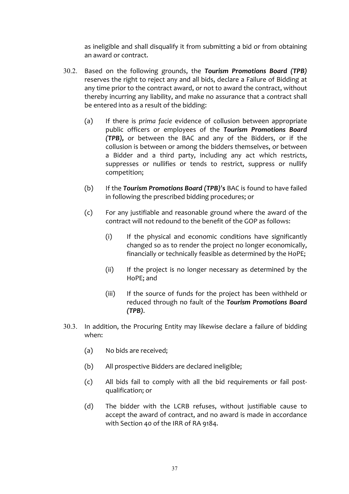as ineligible and shall disqualify it from submitting a bid or from obtaining an award or contract.

- 30.2. Based on the following grounds, the **Tourism Promotions Board (TPB)** reserves the right to reject any and all bids, declare a Failure of Bidding at any time prior to the contract award, or not to award the contract, without thereby incurring any liability, and make no assurance that a contract shall be entered into as a result of the bidding:
	- (a) If there is *prima facie* evidence of collusion between appropriate public officers or employees of the **Tourism Promotions Board** *(TPB)*, or between the BAC and any of the Bidders, or if the collusion is between or among the bidders themselves, or between a Bidder and a third party, including any act which restricts, suppresses or nullifies or tends to restrict, suppress or nullify competition;
	- (b) If the **Tourism Promotions Board (TPB)'s** BAC is found to have failed in following the prescribed bidding procedures; or
	- (c) For any justifiable and reasonable ground where the award of the contract will not redound to the benefit of the GOP as follows:
		- $(i)$  If the physical and economic conditions have significantly changed so as to render the project no longer economically, financially or technically feasible as determined by the HoPE;
		- (ii) If the project is no longer necessary as determined by the HoPE; and
		- (iii) If the source of funds for the project has been withheld or reduced through no fault of the **Tourism Promotions Board** *(TPB)*.
- 30.3. In addition, the Procuring Entity may likewise declare a failure of bidding when:
	- (a) No bids are received:
	- (b) All prospective Bidders are declared ineligible;
	- (c) All bids fail to comply with all the bid requirements or fail postqualification; or
	- (d) The bidder with the LCRB refuses, without justifiable cause to accept the award of contract, and no award is made in accordance with Section 40 of the IRR of RA 9184.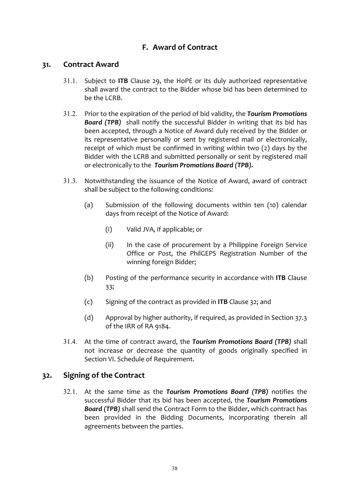### **F. Award of Contract**

#### **31. Contract Award**

- 31.1. Subject to **ITB** Clause 29, the HoPE or its duly authorized representative shall award the contract to the Bidder whose bid has been determined to  $be$  the  $ICRR$ .
- 31.2. Prior to the expiration of the period of bid validity, the **Tourism Promotions Board (TPB)** shall notify the successful Bidder in writing that its bid has been accepted, through a Notice of Award duly received by the Bidder or its representative personally or sent by registered mail or electronically, receipt of which must be confirmed in writing within two  $(2)$  days by the Bidder with the LCRB and submitted personally or sent by registered mail or electronically to the Tourism Promotions Board (TPB).
- 31.3. Notwithstanding the issuance of the Notice of Award, award of contract shall be subject to the following conditions:
	- (a) Submission of the following documents within ten (10) calendar days from receipt of the Notice of Award:
		- (i) Valid JVA, if applicable; or
		- $(ii)$  In the case of procurement by a Philippine Foreign Service Office or Post, the PhilGEPS Registration Number of the winning foreign Bidder;
	- (b) Posting of the performance security in accordance with **ITB** Clause 33;
	- (c) Signing of the contract as provided in **ITB** Clause 32; and
	- (d) Approval by higher authority, if required, as provided in Section  $37.3$ of the IRR of RA 9184.
- 31.4. At the time of contract award, the **Tourism Promotions Board (TPB)** shall not increase or decrease the quantity of goods originally specified in Section VI. Schedule of Requirement.

#### **32.** Signing of the Contract

32.1. At the same time as the **Tourism Promotions Board (TPB)** notifies the successful Bidder that its bid has been accepted, the *Tourism Promotions* **Board (TPB)** shall send the Contract Form to the Bidder, which contract has been provided in the Bidding Documents, incorporating therein all agreements between the parties.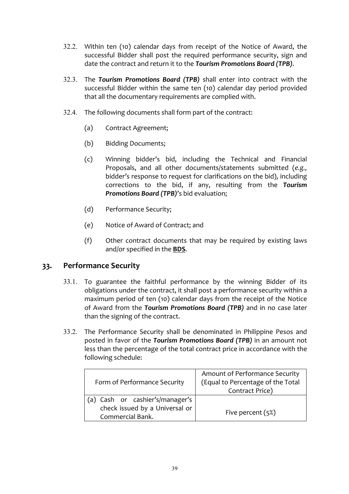- 32.2. Within ten (10) calendar days from receipt of the Notice of Award, the successful Bidder shall post the required performance security, sign and date the contract and return it to the *Tourism Promotions Board (TPB)*.
- 32.3. The **Tourism Promotions Board (TPB)** shall enter into contract with the successful Bidder within the same ten (10) calendar day period provided that all the documentary requirements are complied with.
- 32.4. The following documents shall form part of the contract:
	- (a) Contract Agreement;
	- (b) Bidding Documents;
	- (c) Winning bidder's bid, including the Technical and Financial Proposals, and all other documents/statements submitted (e.g., bidder's response to request for clarifications on the bid), including corrections to the bid, if any, resulting from the **Tourism Promotions Board (TPB)'s bid evaluation;**
	- (d) Performance Security;
	- (e) Notice of Award of Contract; and
	- $(f)$  Other contract documents that may be required by existing laws and/or specified in the **BDS**.

#### **33. Performance Security**

- 33.1. To guarantee the faithful performance by the winning Bidder of its obligations under the contract, it shall post a performance security within a maximum period of ten (10) calendar days from the receipt of the Notice of Award from the *Tourism Promotions Board (TPB)* and in no case later than the signing of the contract.
- 33.2. The Performance Security shall be denominated in Philippine Pesos and posted in favor of the *Tourism Promotions Board* (TPB) in an amount not less than the percentage of the total contract price in accordance with the following schedule:

|                                 | Amount of Performance Security    |  |
|---------------------------------|-----------------------------------|--|
| Form of Performance Security    | (Equal to Percentage of the Total |  |
|                                 | Contract Price)                   |  |
| (a) Cash or cashier's/manager's |                                   |  |
| check issued by a Universal or  |                                   |  |
| Commercial Bank.                | Five percent $(5%)$               |  |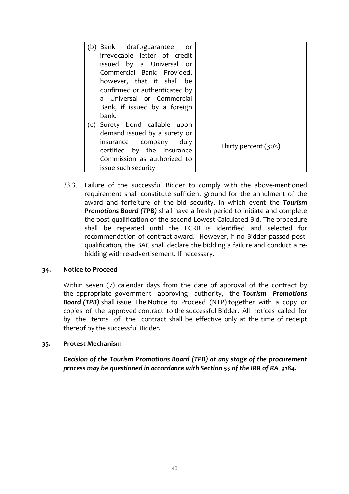| (b) Bank draft/guarantee<br><b>or</b><br>irrevocable letter of credit<br>issued by a Universal or<br>Commercial Bank: Provided,<br>however, that it shall be<br>confirmed or authenticated by<br>a Universal or Commercial<br>Bank, if issued by a foreign<br>bank. |                      |
|---------------------------------------------------------------------------------------------------------------------------------------------------------------------------------------------------------------------------------------------------------------------|----------------------|
| (c) Surety bond callable upon<br>demand issued by a surety or<br>duly<br>insurance company<br>certified by the Insurance<br>Commission as authorized to<br>issue such security                                                                                      | Thirty percent (30%) |

33.3. Failure of the successful Bidder to comply with the above-mentioned requirement shall constitute sufficient ground for the annulment of the award and forfeiture of the bid security, in which event the Tourism **Promotions Board (TPB)** shall have a fresh period to initiate and complete the post qualification of the second Lowest Calculated Bid. The procedure shall be repeated until the LCRB is identified and selected for recommendation of contract award. However, if no Bidder passed postqualification, the BAC shall declare the bidding a failure and conduct a rebidding with re-advertisement. If necessary.

#### **34.** Notice to Proceed

Within seven  $(7)$  calendar days from the date of approval of the contract by the appropriate government approving authority, the **Tourism Promotions Board** (TPB) shall issue The Notice to Proceed (NTP) together with a copy or copies of the approved contract to the successful Bidder. All notices called for by the terms of the contract shall be effective only at the time of receipt thereof by the successful Bidder.

#### **35. Protest Mechanism**

*Decision* of the Tourism Promotions Board (TPB) at any stage of the procurement *process may be questioned in accordance with Section 55 of the IRR of RA 9184.*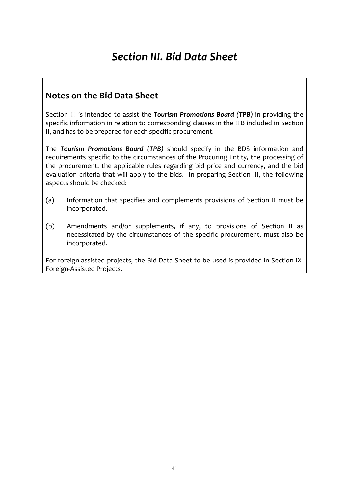# *Section III. Bid Data Sheet*

## **Notes on the Bid Data Sheet**

Section III is intended to assist the *Tourism Promotions Board (TPB)* in providing the specific information in relation to corresponding clauses in the ITB included in Section II, and has to be prepared for each specific procurement.

The **Tourism Promotions Board (TPB)** should specify in the BDS information and requirements specific to the circumstances of the Procuring Entity, the processing of the procurement, the applicable rules regarding bid price and currency, and the bid evaluation criteria that will apply to the bids. In preparing Section III, the following aspects should be checked:

- (a) Information that specifies and complements provisions of Section II must be incorporated.
- (b) Amendments and/or supplements, if any, to provisions of Section II as necessitated by the circumstances of the specific procurement, must also be incorporated.

For foreign-assisted projects, the Bid Data Sheet to be used is provided in Section IX-Foreign-Assisted Projects.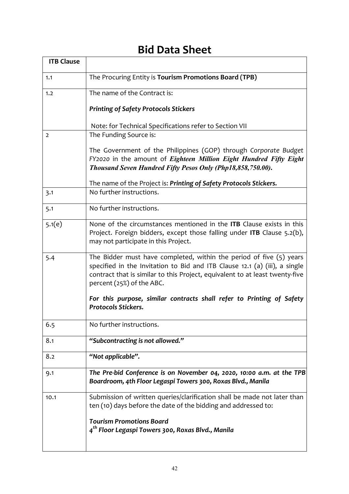## **Bid Data Sheet**

 $\overline{\mathbf{u}}$ 

| <b>ITB Clause</b> |                                                                                                                                                                                                                                                                                                                                           |
|-------------------|-------------------------------------------------------------------------------------------------------------------------------------------------------------------------------------------------------------------------------------------------------------------------------------------------------------------------------------------|
| 1.1               | The Procuring Entity is Tourism Promotions Board (TPB)                                                                                                                                                                                                                                                                                    |
| 1.2               | The name of the Contract is:                                                                                                                                                                                                                                                                                                              |
|                   | <b>Printing of Safety Protocols Stickers</b>                                                                                                                                                                                                                                                                                              |
|                   | Note: for Technical Specifications refer to Section VII                                                                                                                                                                                                                                                                                   |
| $\overline{2}$    | The Funding Source is:                                                                                                                                                                                                                                                                                                                    |
|                   | The Government of the Philippines (GOP) through Corporate Budget<br>FY2020 in the amount of Eighteen Million Eight Hundred Fifty Eight<br>Thousand Seven Hundred Fifty Pesos Only (Php18,858,750.00).                                                                                                                                     |
|                   | The name of the Project is: Printing of Safety Protocols Stickers.                                                                                                                                                                                                                                                                        |
| 3.1               | No further instructions.                                                                                                                                                                                                                                                                                                                  |
| 5.1               | No further instructions.                                                                                                                                                                                                                                                                                                                  |
| 5.1(e)            | None of the circumstances mentioned in the <b>ITB</b> Clause exists in this<br>Project. Foreign bidders, except those falling under ITB Clause 5.2(b),<br>may not participate in this Project.                                                                                                                                            |
| 5.4               | The Bidder must have completed, within the period of five $(5)$ years<br>specified in the Invitation to Bid and ITB Clause 12.1 (a) (iii), a single<br>contract that is similar to this Project, equivalent to at least twenty-five<br>percent (25%) of the ABC.<br>For this purpose, similar contracts shall refer to Printing of Safety |
|                   | <b>Protocols Stickers.</b>                                                                                                                                                                                                                                                                                                                |
| 6.5               | No further instructions.                                                                                                                                                                                                                                                                                                                  |
| 8.1               | "Subcontracting is not allowed."                                                                                                                                                                                                                                                                                                          |
| 8.2               | "Not applicable".                                                                                                                                                                                                                                                                                                                         |
| 9.1               | The Pre-bid Conference is on November 04, 2020, 10:00 a.m. at the TPB<br>Boardroom, 4th Floor Legaspi Towers 300, Roxas Blvd., Manila                                                                                                                                                                                                     |
| 10.1              | Submission of written queries/clarification shall be made not later than<br>ten (10) days before the date of the bidding and addressed to:                                                                                                                                                                                                |
|                   | <b>Tourism Promotions Board</b><br>4 <sup>th</sup> Floor Legaspi Towers 300, Roxas Blvd., Manila                                                                                                                                                                                                                                          |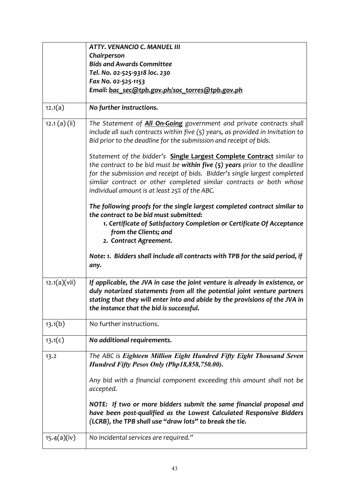|               | <b>ATTY. VENANCIO C. MANUEL III</b>                                                                                                                                                                                                                                                |
|---------------|------------------------------------------------------------------------------------------------------------------------------------------------------------------------------------------------------------------------------------------------------------------------------------|
|               | Chairperson                                                                                                                                                                                                                                                                        |
|               | <b>Bids and Awards Committee</b>                                                                                                                                                                                                                                                   |
|               | Tel. No. 02-525-9318 loc. 230                                                                                                                                                                                                                                                      |
|               | Fax No. 02-525-1153                                                                                                                                                                                                                                                                |
|               | Email: bac sec@tpb.gov.ph/soc torres@tpb.gov.ph                                                                                                                                                                                                                                    |
|               |                                                                                                                                                                                                                                                                                    |
| 12.1(a)       | No further instructions.                                                                                                                                                                                                                                                           |
| 12.1 (a) (ii) | The Statement of All On-Going government and private contracts shall                                                                                                                                                                                                               |
|               | include all such contracts within five (5) years, as provided in Invitation to<br>Bid prior to the deadline for the submission and receipt of bids.                                                                                                                                |
|               |                                                                                                                                                                                                                                                                                    |
|               | Statement of the bidder's Single Largest Complete Contract similar to                                                                                                                                                                                                              |
|               | the contract to be bid must be within five $(5)$ years prior to the deadline                                                                                                                                                                                                       |
|               | for the submission and receipt of bids. Bidder's single largest completed                                                                                                                                                                                                          |
|               | similar contract or other completed similar contracts or both whose                                                                                                                                                                                                                |
|               | individual amount is at least 25% of the ABC.                                                                                                                                                                                                                                      |
|               |                                                                                                                                                                                                                                                                                    |
|               | The following proofs for the single largest completed contract similar to<br>the contract to be bid must submitted:                                                                                                                                                                |
|               |                                                                                                                                                                                                                                                                                    |
|               | 1. Certificate of Satisfactory Completion or Certificate Of Acceptance                                                                                                                                                                                                             |
|               | from the Clients; and                                                                                                                                                                                                                                                              |
|               | 2. Contract Agreement.                                                                                                                                                                                                                                                             |
|               | Note: 1. Bidders shall include all contracts with TPB for the said period, if<br>any.                                                                                                                                                                                              |
|               |                                                                                                                                                                                                                                                                                    |
| 12.1(a)(vii)  | If applicable, the JVA in case the joint venture is already in existence, or<br>duly notarized statements from all the potential joint venture partners<br>stating that they will enter into and abide by the provisions of the JVA in<br>the instance that the bid is successful. |
| 13.1(b)       | No further instructions.                                                                                                                                                                                                                                                           |
| 13.1(c)       | No additional requirements.                                                                                                                                                                                                                                                        |
| 13.2          | The ABC is Eighteen Million Eight Hundred Fifty Eight Thousand Seven<br>Hundred Fifty Pesos Only (Php18,858,750.00).                                                                                                                                                               |
|               | Any bid with a financial component exceeding this amount shall not be<br>accepted.                                                                                                                                                                                                 |
|               | NOTE: If two or more bidders submit the same financial proposal and                                                                                                                                                                                                                |
|               | have been post-qualified as the Lowest Calculated Responsive Bidders                                                                                                                                                                                                               |
|               | (LCRB), the TPB shall use "draw lots" to break the tie.                                                                                                                                                                                                                            |
|               |                                                                                                                                                                                                                                                                                    |
| 15.4(a)(iv)   | No incidental services are required."                                                                                                                                                                                                                                              |
|               |                                                                                                                                                                                                                                                                                    |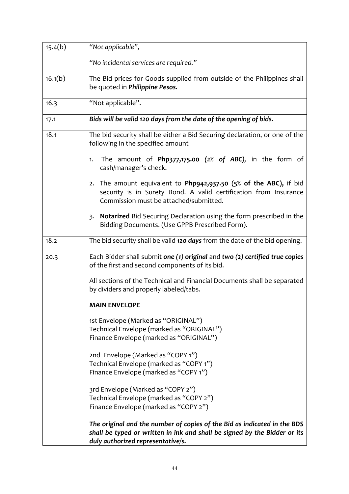| 15.4(b) | "Not applicable",                                                                                                                                                                          |
|---------|--------------------------------------------------------------------------------------------------------------------------------------------------------------------------------------------|
|         | "No incidental services are required."                                                                                                                                                     |
| 16.1(b) | The Bid prices for Goods supplied from outside of the Philippines shall<br>be quoted in Philippine Pesos.                                                                                  |
| 16.3    | "Not applicable".                                                                                                                                                                          |
| 17.1    | Bids will be valid 120 days from the date of the opening of bids.                                                                                                                          |
| 18.1    | The bid security shall be either a Bid Securing declaration, or one of the<br>following in the specified amount                                                                            |
|         | The amount of Php377,175.00 $(2\% \text{ of } ABC)$ , in the form of<br>1.<br>cash/manager's check.                                                                                        |
|         | The amount equivalent to Php942,937.50 (5% of the ABC), if bid<br>2.<br>security is in Surety Bond. A valid certification from Insurance<br>Commission must be attached/submitted.         |
|         | Notarized Bid Securing Declaration using the form prescribed in the<br>3.<br>Bidding Documents. (Use GPPB Prescribed Form).                                                                |
| 18.2    | The bid security shall be valid 120 days from the date of the bid opening.                                                                                                                 |
| 20.3    | Each Bidder shall submit one (1) original and two (2) certified true copies<br>of the first and second components of its bid.                                                              |
|         | All sections of the Technical and Financial Documents shall be separated<br>by dividers and properly labeled/tabs.                                                                         |
|         | <b>MAIN ENVELOPE</b>                                                                                                                                                                       |
|         | 1st Envelope (Marked as "ORIGINAL")<br>Technical Envelope (marked as "ORIGINAL")                                                                                                           |
|         | Finance Envelope (marked as "ORIGINAL")                                                                                                                                                    |
|         | 2nd Envelope (Marked as "COPY 1")<br>Technical Envelope (marked as "COPY 1")                                                                                                               |
|         | Finance Envelope (marked as "COPY 1")                                                                                                                                                      |
|         | 3rd Envelope (Marked as "COPY 2")<br>Technical Envelope (marked as "COPY 2")<br>Finance Envelope (marked as "COPY 2")                                                                      |
|         | The original and the number of copies of the Bid as indicated in the BDS<br>shall be typed or written in ink and shall be signed by the Bidder or its<br>duly authorized representative/s. |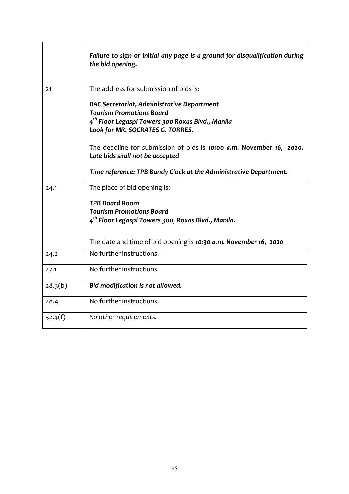|         | Failure to sign or initial any page is a ground for disqualification during<br>the bid opening.         |
|---------|---------------------------------------------------------------------------------------------------------|
| 21      | The address for submission of bids is:                                                                  |
|         | <b>BAC Secretariat, Administrative Department</b><br><b>Tourism Promotions Board</b>                    |
|         | 4 <sup>th</sup> Floor Legaspi Towers 300 Roxas Blvd., Manila<br>Look for MR. SOCRATES G. TORRES.        |
|         | The deadline for submission of bids is 10:00 a.m. November 16, 2020.<br>Late bids shall not be accepted |
|         | Time reference: TPB Bundy Clock at the Administrative Department.                                       |
| 24.1    | The place of bid opening is:                                                                            |
|         | <b>TPB Board Room</b>                                                                                   |
|         | <b>Tourism Promotions Board</b><br>4 <sup>th</sup> Floor Legaspi Towers 300, Roxas Blvd., Manila.       |
|         | The date and time of bid opening is 10:30 a.m. November 16, 2020                                        |
| 24.2    | No further instructions.                                                                                |
| 27.1    | No further instructions.                                                                                |
| 28.3(b) | Bid modification is not allowed.                                                                        |
| 28.4    | No further instructions.                                                                                |
| 32.4(f) | No other requirements.                                                                                  |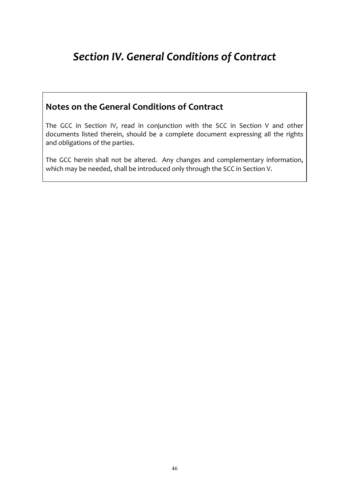# **Section IV. General Conditions of Contract**

### **Notes on the General Conditions of Contract**

The GCC in Section IV, read in conjunction with the SCC in Section V and other documents listed therein, should be a complete document expressing all the rights and obligations of the parties.

The GCC herein shall not be altered. Any changes and complementary information, which may be needed, shall be introduced only through the SCC in Section V.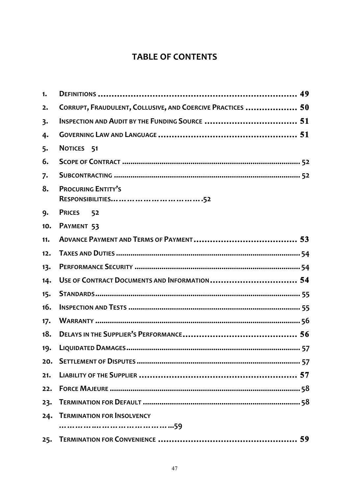## **TABLE OF CONTENTS**

| 1.  |                                                            |
|-----|------------------------------------------------------------|
| 2.  | CORRUPT, FRAUDULENT, COLLUSIVE, AND COERCIVE PRACTICES  50 |
| 3.  |                                                            |
| 4.  |                                                            |
| 5.  | NOTICES 51                                                 |
| 6.  |                                                            |
| 7.  |                                                            |
| 8.  | <b>PROCURING ENTITY'S</b>                                  |
| 9.  | PRICES 52                                                  |
| 10. | PAYMENT 53                                                 |
| 11. |                                                            |
| 12. |                                                            |
| 13. |                                                            |
| 14. | USE OF CONTRACT DOCUMENTS AND INFORMATION 54               |
| 15. |                                                            |
| 16. |                                                            |
| 17. |                                                            |
| 18. |                                                            |
| 19. |                                                            |
| 20. |                                                            |
| 21. |                                                            |
| 22. |                                                            |
| 23. |                                                            |
| 24. | <b>TERMINATION FOR INSOLVENCY</b>                          |
|     | 59                                                         |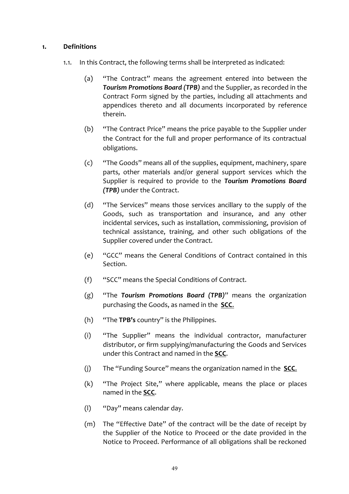#### **1. Definitions**

- 1.1. In this Contract, the following terms shall be interpreted as indicated:
	- (a) "The Contract" means the agreement entered into between the **Tourism Promotions Board (TPB)** and the Supplier, as recorded in the Contract Form signed by the parties, including all attachments and appendices thereto and all documents incorporated by reference therein.
	- (b) "The Contract Price" means the price payable to the Supplier under the Contract for the full and proper performance of its contractual obligations.
	- (c) "The Goods" means all of the supplies, equipment, machinery, spare parts, other materials and/or general support services which the Supplier is required to provide to the **Tourism Promotions Board** *(TPB)* under the Contract.
	- (d) "The Services" means those services ancillary to the supply of the Goods, such as transportation and insurance, and any other incidental services, such as installation, commissioning, provision of technical assistance, training, and other such obligations of the Supplier covered under the Contract.
	- (e) "GCC" means the General Conditions of Contract contained in this Section.
	- (f) "SCC" means the Special Conditions of Contract.
	- (g) "The **Tourism Promotions Board (TPB)**" means the organization purchasing the Goods, as named in the **SCC**.
	- (h) "The **TPB's** country" is the Philippines.
	- (i) "The Supplier" means the individual contractor, manufacturer distributor, or firm supplying/manufacturing the Goods and Services under this Contract and named in the **SCC**.
	- (i) The "Funding Source" means the organization named in the **SCC.**
	- $(k)$  "The Project Site," where applicable, means the place or places named in the **SCC**.
	- (I) "Day" means calendar day.
	- (m) The "Effective Date" of the contract will be the date of receipt by the Supplier of the Notice to Proceed or the date provided in the Notice to Proceed. Performance of all obligations shall be reckoned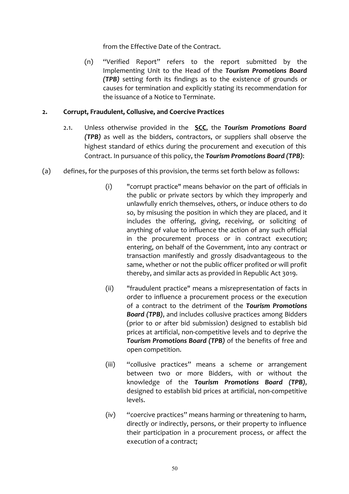from the Effective Date of the Contract.

(n) "Verified Report" refers to the report submitted by the Implementing Unit to the Head of the Tourism Promotions Board *(TPB)* setting forth its findings as to the existence of grounds or causes for termination and explicitly stating its recommendation for the issuance of a Notice to Terminate.

#### 2. **Corrupt, Fraudulent, Collusive, and Coercive Practices**

- 2.1. Unless otherwise provided in the **SCC**, the **Tourism Promotions Board (TPB)** as well as the bidders, contractors, or suppliers shall observe the highest standard of ethics during the procurement and execution of this Contract. In pursuance of this policy, the **Tourism Promotions Board (TPB)**:
- (a) defines, for the purposes of this provision, the terms set forth below as follows:
	- $(i)$  "corrupt practice" means behavior on the part of officials in the public or private sectors by which they improperly and unlawfully enrich themselves, others, or induce others to do so, by misusing the position in which they are placed, and it includes the offering, giving, receiving, or soliciting of anything of value to influence the action of any such official in the procurement process or in contract execution; entering, on behalf of the Government, into any contract or transaction manifestly and grossly disadvantageous to the same, whether or not the public officer profited or will profit thereby, and similar acts as provided in Republic Act 3019.
	- (ii) "fraudulent practice" means a misrepresentation of facts in order to influence a procurement process or the execution of a contract to the detriment of the **Tourism Promotions Board (TPB)**, and includes collusive practices among Bidders (prior to or after bid submission) designed to establish bid prices at artificial, non-competitive levels and to deprive the **Tourism Promotions Board (TPB)** of the benefits of free and open competition.
	- (iii) "collusive practices" means a scheme or arrangement between two or more Bidders, with or without the knowledge of the *Tourism Promotions Board (TPB)*, designed to establish bid prices at artificial, non-competitive levels.
	- (iv) "coercive practices" means harming or threatening to harm, directly or indirectly, persons, or their property to influence their participation in a procurement process, or affect the execution of a contract: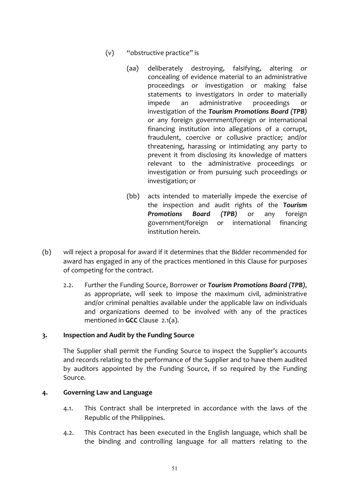- $(v)$  "obstructive practice" is
	- (aa) deliberately destroving, falsifying, altering or concealing of evidence material to an administrative proceedings or investigation or making false statements to investigators in order to materially impede an administrative proceedings or investigation of the *Tourism Promotions Board (TPB)* or any foreign government/foreign or international financing institution into allegations of a corrupt, fraudulent, coercive or collusive practice; and/or threatening, harassing or intimidating any party to prevent it from disclosing its knowledge of matters relevant to the administrative proceedings or investigation or from pursuing such proceedings or investigation; or
	- (bb) acts intended to materially impede the exercise of the inspection and audit rights of the Tourism **Promotions Board (TPB)** or any foreign government/foreign or international financing institution herein.
- (b) will reject a proposal for award if it determines that the Bidder recommended for award has engaged in any of the practices mentioned in this Clause for purposes of competing for the contract.
	- 2.2. Further the Funding Source, Borrower or **Tourism Promotions Board (TPB)**, as appropriate, will seek to impose the maximum civil, administrative and/or criminal penalties available under the applicable law on individuals and organizations deemed to be involved with any of the practices mentioned in **GCC** Clause 2.1(a).

#### 3. **Inspection and Audit by the Funding Source**

The Supplier shall permit the Funding Source to inspect the Supplier's accounts and records relating to the performance of the Supplier and to have them audited by auditors appointed by the Funding Source, if so required by the Funding Source. 

#### 4. Governing Law and Language

- 4.1. This Contract shall be interpreted in accordance with the laws of the Republic of the Philippines.
- 4.2. This Contract has been executed in the English language, which shall be the binding and controlling language for all matters relating to the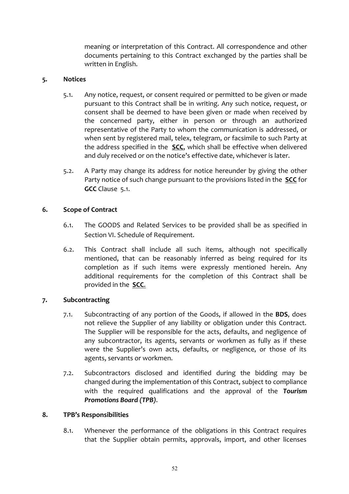meaning or interpretation of this Contract. All correspondence and other documents pertaining to this Contract exchanged by the parties shall be written in English.

#### **5. Notices**

- 5.1. Any notice, request, or consent required or permitted to be given or made pursuant to this Contract shall be in writing. Any such notice, request, or consent shall be deemed to have been given or made when received by the concerned party, either in person or through an authorized representative of the Party to whom the communication is addressed, or when sent by registered mail, telex, telegram, or facsimile to such Party at the address specified in the **SCC**, which shall be effective when delivered and duly received or on the notice's effective date, whichever is later.
- 5.2. A Party may change its address for notice hereunder by giving the other Party notice of such change pursuant to the provisions listed in the **SCC** for **GCC** Clause 5.1.

#### **6.** Scope of Contract

- 6.1. The GOODS and Related Services to be provided shall be as specified in Section VI. Schedule of Requirement.
- 6.2. This Contract shall include all such items, although not specifically mentioned, that can be reasonably inferred as being required for its completion as if such items were expressly mentioned herein. Any additional requirements for the completion of this Contract shall be provided in the **SCC.**

#### **7.** Subcontracting

- 7.1. Subcontracting of any portion of the Goods, if allowed in the **BDS**, does not relieve the Supplier of any liability or obligation under this Contract. The Supplier will be responsible for the acts, defaults, and negligence of any subcontractor, its agents, servants or workmen as fully as if these were the Supplier's own acts, defaults, or negligence, or those of its agents, servants or workmen.
- 7.2. Subcontractors disclosed and identified during the bidding may be changed during the implementation of this Contract, subject to compliance with the required qualifications and the approval of the Tourism *Promotions Board (TPB)*.

#### **8. TPB's Responsibilities**

8.1. Whenever the performance of the obligations in this Contract requires that the Supplier obtain permits, approvals, import, and other licenses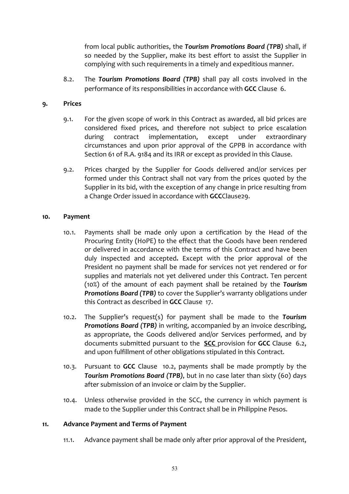from local public authorities, the **Tourism Promotions Board (TPB)** shall, if so needed by the Supplier, make its best effort to assist the Supplier in complying with such requirements in a timely and expeditious manner.

8.2. The **Tourism Promotions Board (TPB)** shall pay all costs involved in the performance of its responsibilities in accordance with **GCC** Clause 6.

#### **9. Prices**

- 9.1. For the given scope of work in this Contract as awarded, all bid prices are considered fixed prices, and therefore not subject to price escalation during contract implementation, except under extraordinary circumstances and upon prior approval of the GPPB in accordance with Section 61 of R.A. 9184 and its IRR or except as provided in this Clause.
- 9.2. Prices charged by the Supplier for Goods delivered and/or services per formed under this Contract shall not vary from the prices quoted by the Supplier in its bid, with the exception of any change in price resulting from a Change Order issued in accordance with **GCC**Clause29.

#### 10. **Payment**

- 10.1. Payments shall be made only upon a certification by the Head of the Procuring Entity (HoPE) to the effect that the Goods have been rendered or delivered in accordance with the terms of this Contract and have been duly inspected and accepted. Except with the prior approval of the President no payment shall be made for services not vet rendered or for supplies and materials not yet delivered under this Contract. Ten percent (10%) of the amount of each payment shall be retained by the **Tourism Promotions Board (TPB)** to cover the Supplier's warranty obligations under this Contract as described in GCC Clause 17.
- 10.2. The Supplier's request(s) for payment shall be made to the **Tourism Promotions Board (TPB)** in writing, accompanied by an invoice describing, as appropriate, the Goods delivered and/or Services performed, and by documents submitted pursuant to the **SCC** provision for **GCC** Clause 6.2, and upon fulfillment of other obligations stipulated in this Contract.
- 10.3. Pursuant to **GCC** Clause 10.2, payments shall be made promptly by the **Tourism Promotions Board (TPB)**, but in no case later than sixty (60) days after submission of an invoice or claim by the Supplier.
- 10.4. Unless otherwise provided in the SCC, the currency in which payment is made to the Supplier under this Contract shall be in Philippine Pesos.

#### 11. Advance Payment and Terms of Payment

11.1. Advance payment shall be made only after prior approval of the President,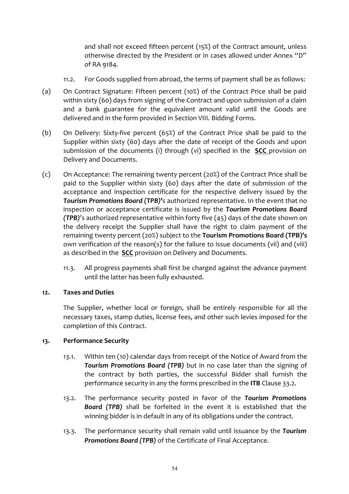and shall not exceed fifteen percent (15%) of the Contract amount, unless otherwise directed by the President or in cases allowed under Annex "D" of RA 9184.

- 11.2. For Goods supplied from abroad, the terms of payment shall be as follows:
- (a) On Contract Signature: Fifteen percent (10%) of the Contract Price shall be paid within sixty (60) days from signing of the Contract and upon submission of a claim and a bank guarantee for the equivalent amount valid until the Goods are delivered and in the form provided in Section VIII. Bidding Forms.
- (b) On Delivery: Sixty-five percent (65%) of the Contract Price shall be paid to the Supplier within sixty (60) days after the date of receipt of the Goods and upon submission of the documents (i) through (vi) specified in the **SCC** provision on Delivery and Documents.
- (c) On Acceptance: The remaining twenty percent (20%) of the Contract Price shall be paid to the Supplier within sixty (60) days after the date of submission of the acceptance and inspection certificate for the respective delivery issued by the **Tourism Promotions Board (TPB)'s** authorized representative. In the event that no inspection or acceptance certificate is issued by the **Tourism Promotions Board** *(TPB)*'s authorized representative within forty five (45) days of the date shown on the delivery receipt the Supplier shall have the right to claim payment of the remaining twenty percent (20%) subject to the **Tourism Promotions Board (TPB)'s** own verification of the reason(s) for the failure to issue documents (vii) and (viii) as described in the **SCC** provision on Delivery and Documents.
	- 11.3. All progress payments shall first be charged against the advance payment until the latter has been fully exhausted.

#### 12. **Taxes and Duties**

The Supplier, whether local or foreign, shall be entirely responsible for all the necessary taxes, stamp duties, license fees, and other such levies imposed for the completion of this Contract.

#### 13. **Performance Security**

- 13.1. Within ten (10) calendar days from receipt of the Notice of Award from the **Tourism Promotions Board (TPB)** but in no case later than the signing of the contract by both parties, the successful Bidder shall furnish the performance security in any the forms prescribed in the **ITB** Clause 33.2.
- 13.2. The performance security posted in favor of the **Tourism Promotions Board** (TPB) shall be forfeited in the event it is established that the winning bidder is in default in any of its obligations under the contract.
- 13.3. The performance security shall remain valid until issuance by the **Tourism Promotions Board (TPB)** of the Certificate of Final Acceptance.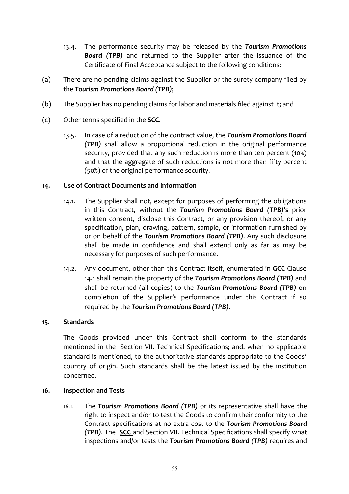- 13.4. The performance security may be released by the **Tourism Promotions Board** (TPB) and returned to the Supplier after the issuance of the Certificate of Final Acceptance subject to the following conditions:
- (a) There are no pending claims against the Supplier or the surety company filed by the **Tourism Promotions Board (TPB);**
- (b) The Supplier has no pending claims for labor and materials filed against it; and
- (c) Other terms specified in the **SCC**.
	- 13.5. In case of a reduction of the contract value, the **Tourism Promotions Board** *(TPB)* shall allow a proportional reduction in the original performance security, provided that any such reduction is more than ten percent  $(10\%)$ and that the aggregate of such reductions is not more than fifty percent (50%) of the original performance security.

#### 14. Use of Contract Documents and Information

- 14.1. The Supplier shall not, except for purposes of performing the obligations in this Contract, without the **Tourism Promotions Board (TPB)'s** prior written consent, disclose this Contract, or any provision thereof, or any specification, plan, drawing, pattern, sample, or information furnished by or on behalf of the *Tourism Promotions Board (TPB)*. Any such disclosure shall be made in confidence and shall extend only as far as may be necessary for purposes of such performance.
- 14.2. Any document, other than this Contract itself, enumerated in GCC Clause 14.1 shall remain the property of the **Tourism Promotions Board (TPB)** and shall be returned (all copies) to the **Tourism Promotions Board (TPB)** on completion of the Supplier's performance under this Contract if so required by the Tourism Promotions Board (TPB).

#### 15. **Standards**

The Goods provided under this Contract shall conform to the standards mentioned in the Section VII. Technical Specifications; and, when no applicable standard is mentioned, to the authoritative standards appropriate to the Goods' country of origin. Such standards shall be the latest issued by the institution concerned. 

#### 16. **Inspection and Tests**

16.1. The **Tourism Promotions Board (TPB)** or its representative shall have the right to inspect and/or to test the Goods to confirm their conformity to the Contract specifications at no extra cost to the *Tourism Promotions Board (TPB)*. The **SCC** and Section VII. Technical Specifications shall specify what inspections and/or tests the **Tourism Promotions Board (TPB)** requires and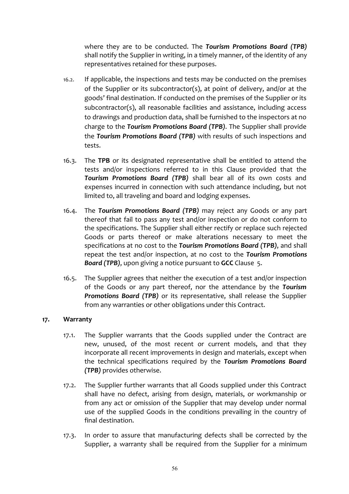where they are to be conducted. The **Tourism Promotions Board (TPB)** shall notify the Supplier in writing, in a timely manner, of the identity of any representatives retained for these purposes.

- 16.2. If applicable, the inspections and tests may be conducted on the premises of the Supplier or its subcontractor(s), at point of delivery, and/or at the goods' final destination. If conducted on the premises of the Supplier or its subcontractor(s), all reasonable facilities and assistance, including access to drawings and production data, shall be furnished to the inspectors at no charge to the **Tourism Promotions Board (TPB)**. The Supplier shall provide the **Tourism Promotions Board (TPB)** with results of such inspections and tests.
- 16.3. The TPB or its designated representative shall be entitled to attend the tests and/or inspections referred to in this Clause provided that the **Tourism Promotions Board (TPB)** shall bear all of its own costs and expenses incurred in connection with such attendance including, but not limited to, all traveling and board and lodging expenses.
- 16.4. The **Tourism Promotions Board (TPB)** may reject any Goods or any part thereof that fail to pass any test and/or inspection or do not conform to the specifications. The Supplier shall either rectify or replace such rejected Goods or parts thereof or make alterations necessary to meet the specifications at no cost to the **Tourism Promotions Board (TPB)**, and shall repeat the test and/or inspection, at no cost to the **Tourism Promotions Board (TPB),** upon giving a notice pursuant to **GCC** Clause 5.
- 16.5. The Supplier agrees that neither the execution of a test and/or inspection of the Goods or any part thereof, nor the attendance by the **Tourism Promotions Board (TPB)** or its representative, shall release the Supplier from any warranties or other obligations under this Contract.

#### **17. Warranty**

- 17.1. The Supplier warrants that the Goods supplied under the Contract are new, unused, of the most recent or current models, and that they incorporate all recent improvements in design and materials, except when the technical specifications required by the Tourism Promotions Board *(TPB)* provides otherwise.
- 17.2. The Supplier further warrants that all Goods supplied under this Contract shall have no defect, arising from design, materials, or workmanship or from any act or omission of the Supplier that may develop under normal use of the supplied Goods in the conditions prevailing in the country of final destination.
- 17.3. In order to assure that manufacturing defects shall be corrected by the Supplier, a warranty shall be required from the Supplier for a minimum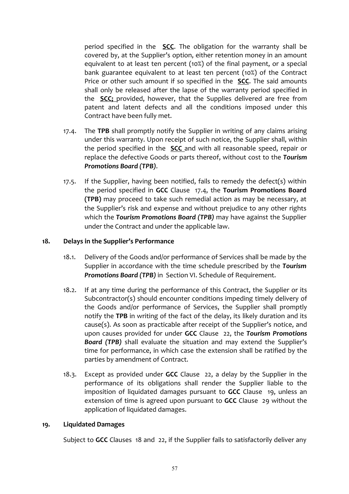period specified in the **SCC**. The obligation for the warranty shall be covered by, at the Supplier's option, either retention money in an amount equivalent to at least ten percent  $(10%)$  of the final payment, or a special bank guarantee equivalent to at least ten percent (10%) of the Contract Price or other such amount if so specified in the **SCC**. The said amounts shall only be released after the lapse of the warranty period specified in the **SCC;** provided, however, that the Supplies delivered are free from patent and latent defects and all the conditions imposed under this Contract have been fully met.

- 17.4. The TPB shall promptly notify the Supplier in writing of any claims arising under this warranty. Upon receipt of such notice, the Supplier shall, within the period specified in the **SCC** and with all reasonable speed, repair or replace the defective Goods or parts thereof, without cost to the *Tourism Promotions Board (TPB)*.
- 17.5. If the Supplier, having been notified, fails to remedy the defect(s) within the period specified in GCC Clause 17.4, the Tourism Promotions Board **(TPB)** may proceed to take such remedial action as may be necessary, at the Supplier's risk and expense and without prejudice to any other rights which the **Tourism Promotions Board (TPB)** may have against the Supplier under the Contract and under the applicable law.

#### 18. **Delays in the Supplier's Performance**

- 18.1. Delivery of the Goods and/or performance of Services shall be made by the Supplier in accordance with the time schedule prescribed by the *Tourism* **Promotions Board (TPB)** in Section VI. Schedule of Requirement.
- 18.2. If at any time during the performance of this Contract, the Supplier or its Subcontractor(s) should encounter conditions impeding timely delivery of the Goods and/or performance of Services, the Supplier shall promptly notify the TPB in writing of the fact of the delay, its likely duration and its cause(s). As soon as practicable after receipt of the Supplier's notice, and upon causes provided for under **GCC** Clause 22, the **Tourism Promotions Board (TPB)** shall evaluate the situation and may extend the Supplier's time for performance, in which case the extension shall be ratified by the parties by amendment of Contract.
- 18.3. Except as provided under **GCC** Clause 22, a delay by the Supplier in the performance of its obligations shall render the Supplier liable to the imposition of liquidated damages pursuant to **GCC** Clause 19, unless an extension of time is agreed upon pursuant to **GCC** Clause 29 without the application of liquidated damages.

#### **19. Liquidated Damages**

Subject to **GCC** Clauses 18 and 22, if the Supplier fails to satisfactorily deliver any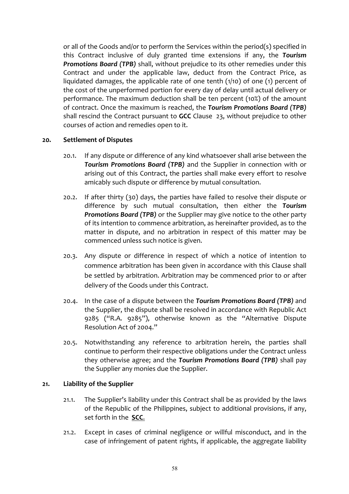or all of the Goods and/or to perform the Services within the period(s) specified in this Contract inclusive of duly granted time extensions if any, the **Tourism Promotions Board (TPB)** shall, without prejudice to its other remedies under this Contract and under the applicable law, deduct from the Contract Price, as liquidated damages, the applicable rate of one tenth  $(1/10)$  of one  $(1)$  percent of the cost of the unperformed portion for every day of delay until actual delivery or performance. The maximum deduction shall be ten percent (10%) of the amount of contract. Once the maximum is reached, the **Tourism Promotions Board (TPB)** shall rescind the Contract pursuant to GCC Clause 23, without prejudice to other courses of action and remedies open to it.

#### 20. Settlement of Disputes

- 20.1. If any dispute or difference of any kind whatsoever shall arise between the **Tourism Promotions Board (TPB)** and the Supplier in connection with or arising out of this Contract, the parties shall make every effort to resolve amicably such dispute or difference by mutual consultation.
- 20.2. If after thirty (30) days, the parties have failed to resolve their dispute or difference by such mutual consultation, then either the **Tourism Promotions Board (TPB)** or the Supplier may give notice to the other party of its intention to commence arbitration, as hereinafter provided, as to the matter in dispute, and no arbitration in respect of this matter may be commenced unless such notice is given.
- 20.3. Any dispute or difference in respect of which a notice of intention to commence arbitration has been given in accordance with this Clause shall be settled by arbitration. Arbitration may be commenced prior to or after delivery of the Goods under this Contract.
- 20.4. In the case of a dispute between the **Tourism Promotions Board (TPB)** and the Supplier, the dispute shall be resolved in accordance with Republic Act 9285 ("R.A. 9285"), otherwise known as the "Alternative Dispute Resolution Act of 2004."
- 20.5. Notwithstanding any reference to arbitration herein, the parties shall continue to perform their respective obligations under the Contract unless they otherwise agree; and the *Tourism Promotions Board (TPB)* shall pay the Supplier any monies due the Supplier.

#### 21. Liability of the Supplier

- 21.1. The Supplier's liability under this Contract shall be as provided by the laws of the Republic of the Philippines, subject to additional provisions, if any, set forth in the **SCC**.
- 21.2. Except in cases of criminal negligence or willful misconduct, and in the case of infringement of patent rights, if applicable, the aggregate liability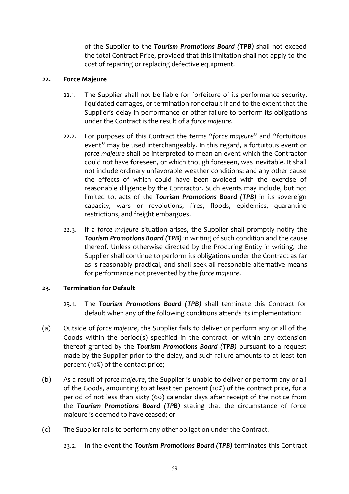of the Supplier to the **Tourism Promotions Board (TPB)** shall not exceed the total Contract Price, provided that this limitation shall not apply to the cost of repairing or replacing defective equipment.

#### 22. **Force Majeure**

- 22.1. The Supplier shall not be liable for forfeiture of its performance security, liquidated damages, or termination for default if and to the extent that the Supplier's delay in performance or other failure to perform its obligations under the Contract is the result of a force majeure.
- 22.2. For purposes of this Contract the terms "force majeure" and "fortuitous event" may be used interchangeably. In this regard, a fortuitous event or *force majeure* shall be interpreted to mean an event which the Contractor could not have foreseen, or which though foreseen, was inevitable. It shall not include ordinary unfavorable weather conditions; and any other cause the effects of which could have been avoided with the exercise of reasonable diligence by the Contractor. Such events may include, but not limited to, acts of the **Tourism Promotions Board (TPB)** in its sovereign capacity, wars or revolutions, fires, floods, epidemics, quarantine restrictions, and freight embargoes.
- 22.3. If a *force majeure* situation arises, the Supplier shall promptly notify the **Tourism Promotions Board (TPB)** in writing of such condition and the cause thereof. Unless otherwise directed by the Procuring Entity in writing, the Supplier shall continue to perform its obligations under the Contract as far as is reasonably practical, and shall seek all reasonable alternative means for performance not prevented by the *force majeure*.

#### 23. **Termination for Default**

- 23.1. The **Tourism Promotions Board (TPB)** shall terminate this Contract for default when any of the following conditions attends its implementation:
- (a) Outside of force majeure, the Supplier fails to deliver or perform any or all of the Goods within the period(s) specified in the contract, or within any extension thereof granted by the **Tourism Promotions Board (TPB)** pursuant to a request made by the Supplier prior to the delay, and such failure amounts to at least ten percent (10%) of the contact price;
- (b) As a result of force majeure, the Supplier is unable to deliver or perform any or all of the Goods, amounting to at least ten percent (10%) of the contract price, for a period of not less than sixty (60) calendar days after receipt of the notice from the Tourism Promotions Board (TPB) stating that the circumstance of force majeure is deemed to have ceased; or
- (c) The Supplier fails to perform any other obligation under the Contract.
	- 23.2. In the event the **Tourism Promotions Board (TPB)** terminates this Contract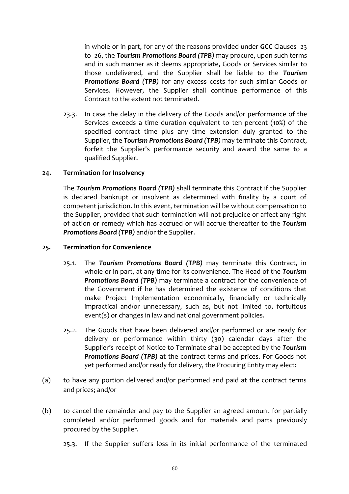in whole or in part, for any of the reasons provided under **GCC** Clauses 23 to 26, the **Tourism Promotions Board (TPB)** may procure, upon such terms and in such manner as it deems appropriate, Goods or Services similar to those undelivered, and the Supplier shall be liable to the Tourism **Promotions Board (TPB)** for any excess costs for such similar Goods or Services. However, the Supplier shall continue performance of this Contract to the extent not terminated.

23.3. In case the delay in the delivery of the Goods and/or performance of the Services exceeds a time duration equivalent to ten percent (10%) of the specified contract time plus any time extension duly granted to the Supplier, the **Tourism Promotions Board (TPB)** may terminate this Contract, forfeit the Supplier's performance security and award the same to a qualified Supplier. 

#### 24. Termination for Insolvency

The **Tourism Promotions Board (TPB)** shall terminate this Contract if the Supplier is declared bankrupt or insolvent as determined with finality by a court of competent jurisdiction. In this event, termination will be without compensation to the Supplier, provided that such termination will not prejudice or affect any right of action or remedy which has accrued or will accrue thereafter to the *Tourism* **Promotions Board (TPB)** and/or the Supplier.

#### **25. Termination for Convenience**

- 25.1. The Tourism Promotions Board (TPB) may terminate this Contract, in whole or in part, at any time for its convenience. The Head of the **Tourism Promotions Board (TPB)** may terminate a contract for the convenience of the Government if he has determined the existence of conditions that make Project Implementation economically, financially or technically impractical and/or unnecessary, such as, but not limited to, fortuitous  $event(s)$  or changes in law and national government policies.
- 25.2. The Goods that have been delivered and/or performed or are ready for delivery or performance within thirty (30) calendar days after the Supplier's receipt of Notice to Terminate shall be accepted by the Tourism **Promotions Board (TPB)** at the contract terms and prices. For Goods not yet performed and/or ready for delivery, the Procuring Entity may elect:
- (a) to have any portion delivered and/or performed and paid at the contract terms and prices; and/or
- (b) to cancel the remainder and pay to the Supplier an agreed amount for partially completed and/or performed goods and for materials and parts previously procured by the Supplier.
	- 25.3. If the Supplier suffers loss in its initial performance of the terminated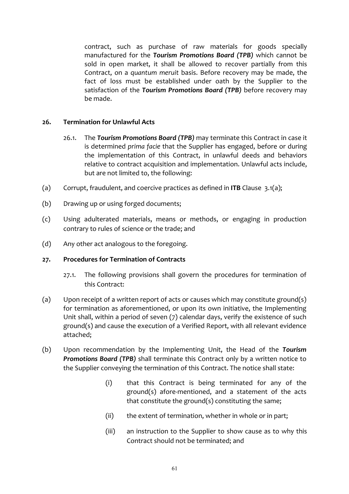contract, such as purchase of raw materials for goods specially manufactured for the **Tourism Promotions Board (TPB)** which cannot be sold in open market, it shall be allowed to recover partially from this Contract, on a *quantum meruit* basis. Before recovery may be made, the fact of loss must be established under oath by the Supplier to the satisfaction of the **Tourism Promotions Board (TPB)** before recovery may be made.

#### 26. **Termination for Unlawful Acts**

- 26.1. The **Tourism Promotions Board (TPB)** may terminate this Contract in case it is determined *prima facie* that the Supplier has engaged, before or during the implementation of this Contract, in unlawful deeds and behaviors relative to contract acquisition and implementation. Unlawful acts include, but are not limited to, the following:
- (a) Corrupt, fraudulent, and coercive practices as defined in **ITB** Clause  $3.1(a)$ ;
- (b) Drawing up or using forged documents;
- (c) Using adulterated materials, means or methods, or engaging in production contrary to rules of science or the trade; and
- (d) Any other act analogous to the foregoing.

#### 27. Procedures for Termination of Contracts

- 27.1. The following provisions shall govern the procedures for termination of this Contract:
- (a) Upon receipt of a written report of acts or causes which may constitute ground(s) for termination as aforementioned, or upon its own initiative, the Implementing Unit shall, within a period of seven  $(7)$  calendar days, verify the existence of such ground(s) and cause the execution of a Verified Report, with all relevant evidence attached;
- (b) Upon recommendation by the Implementing Unit, the Head of the **Tourism Promotions Board (TPB)** shall terminate this Contract only by a written notice to the Supplier conveying the termination of this Contract. The notice shall state:
	- (i) that this Contract is being terminated for any of the ground(s) afore-mentioned, and a statement of the acts that constitute the ground(s) constituting the same;
	- $(ii)$  the extent of termination, whether in whole or in part;
	- (iii) an instruction to the Supplier to show cause as to why this Contract should not be terminated; and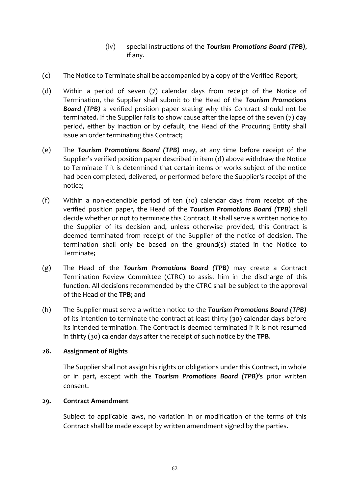#### (iv) special instructions of the **Tourism Promotions Board (TPB)**, if any.

- (c) The Notice to Terminate shall be accompanied by a copy of the Verified Report;
- (d) Within a period of seven  $(7)$  calendar days from receipt of the Notice of Termination, the Supplier shall submit to the Head of the **Tourism Promotions Board (TPB)** a verified position paper stating why this Contract should not be terminated. If the Supplier fails to show cause after the lapse of the seven (7) day period, either by inaction or by default, the Head of the Procuring Entity shall issue an order terminating this Contract;
- (e) The **Tourism Promotions Board (TPB)** may, at any time before receipt of the Supplier's verified position paper described in item  $(d)$  above withdraw the Notice to Terminate if it is determined that certain items or works subject of the notice had been completed, delivered, or performed before the Supplier's receipt of the notice;
- (f) Within a non-extendible period of ten  $(10)$  calendar days from receipt of the verified position paper, the Head of the **Tourism Promotions Board (TPB)** shall decide whether or not to terminate this Contract. It shall serve a written notice to the Supplier of its decision and, unless otherwise provided, this Contract is deemed terminated from receipt of the Supplier of the notice of decision. The termination shall only be based on the ground(s) stated in the Notice to Terminate;
- (g) The Head of the **Tourism Promotions Board (TPB)** may create a Contract Termination Review Committee (CTRC) to assist him in the discharge of this function. All decisions recommended by the CTRC shall be subject to the approval of the Head of the TPB; and
- (h) The Supplier must serve a written notice to the **Tourism Promotions Board (TPB)** of its intention to terminate the contract at least thirty  $(30)$  calendar days before its intended termination. The Contract is deemed terminated if it is not resumed in thirty (30) calendar days after the receipt of such notice by the TPB.

#### 28. **Assignment of Rights**

The Supplier shall not assign his rights or obligations under this Contract, in whole or in part, except with the **Tourism Promotions Board (TPB)'s** prior written consent. 

#### 29. **Contract Amendment**

Subject to applicable laws, no variation in or modification of the terms of this Contract shall be made except by written amendment signed by the parties.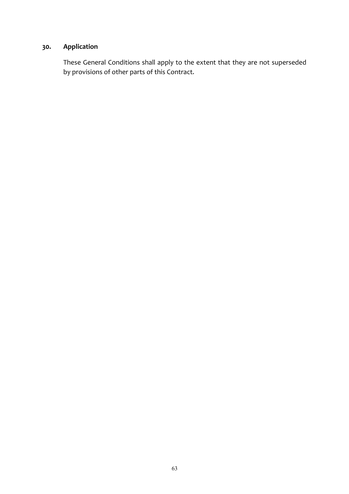## 30. **Application**

These General Conditions shall apply to the extent that they are not superseded by provisions of other parts of this Contract.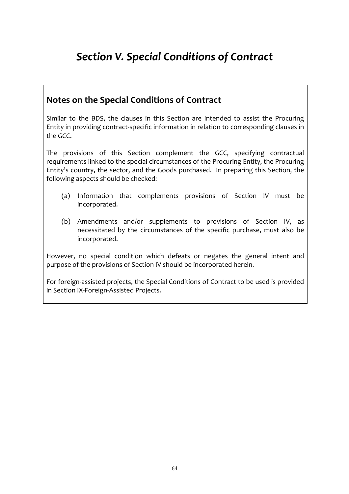# *Section V. Special Conditions of Contract*

## **Notes on the Special Conditions of Contract**

Similar to the BDS, the clauses in this Section are intended to assist the Procuring Entity in providing contract-specific information in relation to corresponding clauses in the GCC.

The provisions of this Section complement the GCC, specifying contractual requirements linked to the special circumstances of the Procuring Entity, the Procuring Entity's country, the sector, and the Goods purchased. In preparing this Section, the following aspects should be checked:

- (a) Information that complements provisions of Section IV must be incorporated.
- (b) Amendments and/or supplements to provisions of Section IV, as necessitated by the circumstances of the specific purchase, must also be incorporated.

However, no special condition which defeats or negates the general intent and purpose of the provisions of Section IV should be incorporated herein.

For foreign-assisted projects, the Special Conditions of Contract to be used is provided in Section IX-Foreign-Assisted Projects.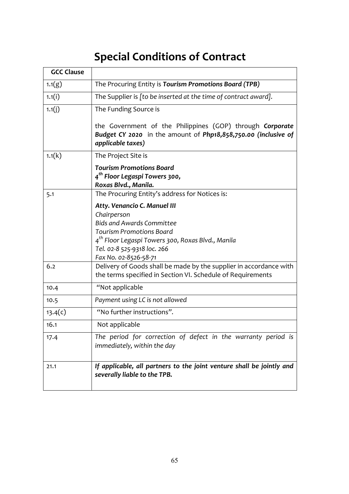# **Special Conditions of Contract**

| <b>GCC Clause</b> |                                                                                                                                                                                                                                             |
|-------------------|---------------------------------------------------------------------------------------------------------------------------------------------------------------------------------------------------------------------------------------------|
| 1.1(g)            | The Procuring Entity is Tourism Promotions Board (TPB)                                                                                                                                                                                      |
| 1.1(i)            | The Supplier is [to be inserted at the time of contract award].                                                                                                                                                                             |
| 1.1(j)            | The Funding Source is                                                                                                                                                                                                                       |
|                   | the Government of the Philippines (GOP) through Corporate<br>Budget CY 2020 in the amount of Php18,858,750.00 (inclusive of<br>applicable taxes)                                                                                            |
| 1.1(k)            | The Project Site is                                                                                                                                                                                                                         |
|                   | <b>Tourism Promotions Board</b><br>4 <sup>th</sup> Floor Legaspi Towers 300,<br>Roxas Blvd., Manila.                                                                                                                                        |
| 5.1               | The Procuring Entity's address for Notices is:                                                                                                                                                                                              |
|                   | Atty. Venancio C. Manuel III<br>Chairperson<br><b>Bids and Awards Committee</b><br><b>Tourism Promotions Board</b><br>4 <sup>th</sup> Floor Legaspi Towers 300, Roxas Blvd., Manila<br>Tel. 02-8 525-9318 loc. 266<br>Fax No. 02-8526-58-71 |
| 6.2               | Delivery of Goods shall be made by the supplier in accordance with<br>the terms specified in Section VI. Schedule of Requirements                                                                                                           |
| 10.4              | "Not applicable                                                                                                                                                                                                                             |
| 10.5              | Payment using LC is not allowed                                                                                                                                                                                                             |
| 13.4(c)           | "No further instructions".                                                                                                                                                                                                                  |
| 16.1              | Not applicable                                                                                                                                                                                                                              |
| 17.4              | The period for correction of defect in the warranty period is<br>immediately, within the day                                                                                                                                                |
| 21.1              | If applicable, all partners to the joint venture shall be jointly and<br>severally liable to the TPB.                                                                                                                                       |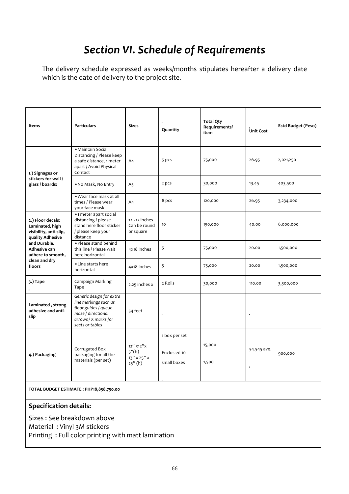# *Section VI. Schedule of Requirements*

The delivery schedule expressed as weeks/months stipulates hereafter a delivery date which is the date of delivery to the project site.

| Items                                                                              | <b>Particulars</b>                                                                                                                         | <b>Sizes</b>                                         | Quantity                                     | <b>Total Qty</b><br>Requirements/<br>item | Unit Cost                | <b>Estd Budget (Peso)</b> |
|------------------------------------------------------------------------------------|--------------------------------------------------------------------------------------------------------------------------------------------|------------------------------------------------------|----------------------------------------------|-------------------------------------------|--------------------------|---------------------------|
| 1.) Signages or                                                                    | · Maintain Social<br>Distancing / Please keep<br>a safe distance, 1 meter<br>apart / Avoid Physical<br>Contact                             | A <sub>4</sub>                                       | 5 pcs                                        | 75,000                                    | 26.95                    | 2,021,250                 |
| stickers for wall /<br>glass / boards:                                             | . No Mask, No Entry                                                                                                                        | A5                                                   | 2 pcs                                        | 30,000                                    | 13.45                    | 403,500                   |
|                                                                                    | . Wear face mask at all<br>times / Please wear<br>your face mask                                                                           | A <sub>4</sub>                                       | 8 pcs                                        | 120,000                                   | 26.95                    | 3,234,000                 |
| 2.) Floor decals:<br>Laminated, high<br>visibility, anti-slip,<br>quality Adhesive | •1 meter apart social<br>distancing / please<br>stand here floor sticker<br>/ please keep your<br>distance                                 | 12 x12 inches<br>Can be round<br>or square           | 10                                           | 150,000                                   | 40.00                    | 6,000,000                 |
| and Durable.<br>Adhesive can<br>adhere to smooth,                                  | . Please stand behind<br>this line / Please wait<br>here horizontal                                                                        | 4x18 inches                                          | 5                                            | 75,000                                    | 20.00                    | 1,500,000                 |
| clean and dry<br>floors                                                            | • Line starts here<br>horizontal                                                                                                           | 4x18 inches                                          | 5                                            | 75,000                                    | 20.00                    | 1,500,000                 |
| 3.) Tape                                                                           | Campaign Marking<br>Tape                                                                                                                   | 2.25 inches x                                        | 2 Rolls                                      | 30,000                                    | 110.00                   | 3,300,000                 |
| Laminated, strong<br>adhesive and anti-<br>slip                                    | Generic design for extra<br>line markings such as<br>floor guides / queue<br>maze / directional<br>arrows / X marks for<br>seats or tables | 54 feet                                              | $\blacksquare$                               |                                           | j.                       |                           |
| 4.) Packaging                                                                      | Corrugated Box<br>packaging for all the<br>materials (per set)                                                                             | 12" x12" x<br>5''(h)<br>$13''$ x $25''$ x<br>25''(h) | 1 box per set<br>Enclos ed 10<br>small boxes | 15,000<br>1,500                           | 54.545 ave.<br>$\bullet$ | 900,000                   |

**TOTAL BUDGET ESTIMATE : PHP18,858,750.00** 

#### **Specification details:**

Sizes : See breakdown above Material : Vinyl 3M stickers Printing : Full color printing with matt lamination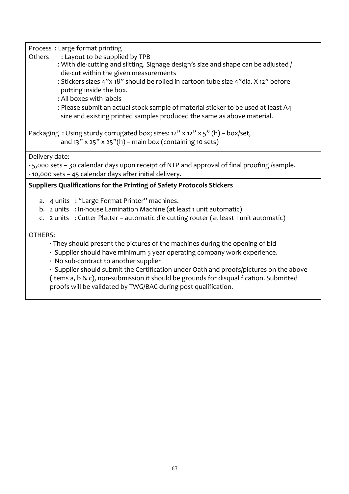Process: Large format printing

- Others : Layout to be supplied by TPB
	- : With die-cutting and slitting. Signage design's size and shape can be adjusted / die-cut within the given measurements
	- : Stickers sizes 4"x 18" should be rolled in cartoon tube size 4"dia. X 12" before putting inside the box.
	- : All boxes with labels
	- : Please submit an actual stock sample of material sticker to be used at least A4 size and existing printed samples produced the same as above material.

Packaging : Using sturdy corrugated box; sizes:  $12''$  x  $12''$  x  $5''$  (h) – box/set, and  $13''$  x  $25''$  x  $25''(h)$  – main box (containing 10 sets)

Delivery date:

- 5,000 sets - 30 calendar days upon receipt of NTP and approval of final proofing /sample. - 10,000 sets - 45 calendar days after initial delivery.

#### **Suppliers Qualifications for the Printing of Safety Protocols Stickers**

- a. 4 units : "Large Format Printer" machines.
- b. 2 units : In-house Lamination Machine (at least 1 unit automatic)
- c. 2 units : Cutter Platter automatic die cutting router (at least 1 unit automatic)

#### OTHERS:

- $\cdot$  They should present the pictures of the machines during the opening of bid
- $\cdot$  Supplier should have minimum 5 year operating company work experience.
- $\cdot$  No sub-contract to another supplier

 $\cdot$  Supplier should submit the Certification under Oath and proofs/pictures on the above (items  $a, b \& c$ ), non-submission it should be grounds for disqualification. Submitted proofs will be validated by TWG/BAC during post qualification.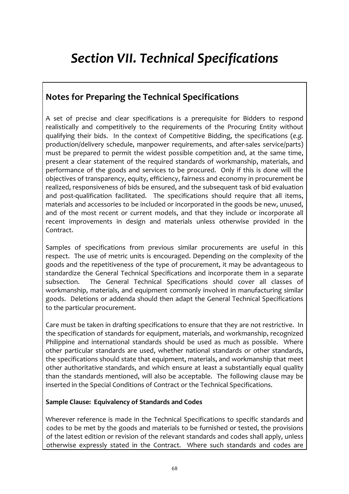# *Section VII. Technical Specifications*

## **Notes for Preparing the Technical Specifications**

A set of precise and clear specifications is a prerequisite for Bidders to respond realistically and competitively to the requirements of the Procuring Entity without qualifying their bids. In the context of Competitive Bidding, the specifications (e.g. production/delivery schedule, manpower requirements, and after-sales service/parts) must be prepared to permit the widest possible competition and, at the same time, present a clear statement of the required standards of workmanship, materials, and performance of the goods and services to be procured. Only if this is done will the objectives of transparency, equity, efficiency, fairness and economy in procurement be realized, responsiveness of bids be ensured, and the subsequent task of bid evaluation and post-qualification facilitated. The specifications should require that all items, materials and accessories to be included or incorporated in the goods be new, unused, and of the most recent or current models, and that they include or incorporate all recent improvements in design and materials unless otherwise provided in the Contract.

Samples of specifications from previous similar procurements are useful in this respect. The use of metric units is encouraged. Depending on the complexity of the goods and the repetitiveness of the type of procurement, it may be advantageous to standardize the General Technical Specifications and incorporate them in a separate subsection. The General Technical Specifications should cover all classes of workmanship, materials, and equipment commonly involved in manufacturing similar goods. Deletions or addenda should then adapt the General Technical Specifications to the particular procurement.

Care must be taken in drafting specifications to ensure that they are not restrictive. In the specification of standards for equipment, materials, and workmanship, recognized Philippine and international standards should be used as much as possible. Where other particular standards are used, whether national standards or other standards. the specifications should state that equipment, materials, and workmanship that meet other authoritative standards, and which ensure at least a substantially equal quality than the standards mentioned, will also be acceptable. The following clause may be inserted in the Special Conditions of Contract or the Technical Specifications.

#### **Sample Clause: Equivalency of Standards and Codes**

Wherever reference is made in the Technical Specifications to specific standards and codes to be met by the goods and materials to be furnished or tested, the provisions of the latest edition or revision of the relevant standards and codes shall apply, unless otherwise expressly stated in the Contract. Where such standards and codes are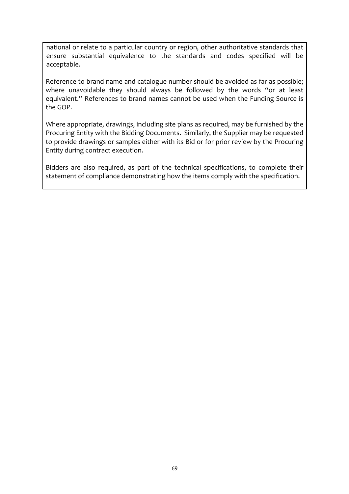national or relate to a particular country or region, other authoritative standards that ensure substantial equivalence to the standards and codes specified will be acceptable.

Reference to brand name and catalogue number should be avoided as far as possible; where unavoidable they should always be followed by the words "or at least equivalent." References to brand names cannot be used when the Funding Source is the GOP.

Where appropriate, drawings, including site plans as required, may be furnished by the Procuring Entity with the Bidding Documents. Similarly, the Supplier may be requested to provide drawings or samples either with its Bid or for prior review by the Procuring Entity during contract execution.

Bidders are also required, as part of the technical specifications, to complete their statement of compliance demonstrating how the items comply with the specification.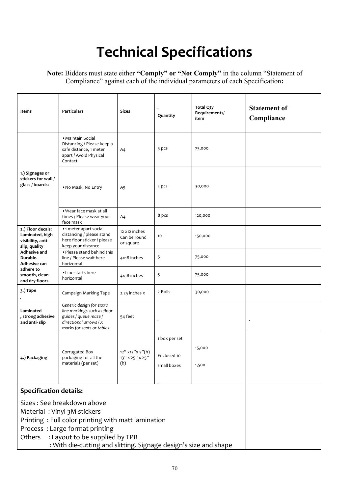# **Technical Specifications**

#### **Note:** Bidders must state either **"Comply" or "Not Comply"** in the column "Statement of Compliance" against each of the individual parameters of each Specification**:**

| Items                                                                                                                                                                                                                                                             | <b>Particulars</b>                                                                                                                      | <b>Sizes</b>                               | Quantity                                    | <b>Total Qty</b><br>Requirements/<br>item | <b>Statement of</b><br>Compliance |
|-------------------------------------------------------------------------------------------------------------------------------------------------------------------------------------------------------------------------------------------------------------------|-----------------------------------------------------------------------------------------------------------------------------------------|--------------------------------------------|---------------------------------------------|-------------------------------------------|-----------------------------------|
|                                                                                                                                                                                                                                                                   | • Maintain Social<br>Distancing / Please keep a<br>safe distance, 1 meter<br>apart / Avoid Physical<br>Contact                          | A4                                         | 5 pcs                                       | 75,000                                    |                                   |
| 1.) Signages or<br>stickers for wall /<br>glass / boards:                                                                                                                                                                                                         | . No Mask, No Entry                                                                                                                     | A5                                         | 2 pcs                                       | 30,000                                    |                                   |
|                                                                                                                                                                                                                                                                   | . Wear face mask at all<br>times / Please wear your<br>face mask                                                                        | A <sub>4</sub>                             | 8 pcs                                       | 120,000                                   |                                   |
| 2.) Floor decals:<br>Laminated, high<br>visibility, anti-<br>slip, quality                                                                                                                                                                                        | •1 meter apart social<br>distancing / please stand<br>here floor sticker / please<br>keep your distance                                 | 12 x12 inches<br>Can be round<br>or square | 10                                          | 150,000                                   |                                   |
| Adhesive and<br>Durable.<br>Adhesive can                                                                                                                                                                                                                          | . Please stand behind this<br>line / Please wait here<br>horizontal                                                                     | 4x18 inches                                | 5                                           | 75,000                                    |                                   |
| adhere to<br>smooth, clean<br>and dry floors                                                                                                                                                                                                                      | • Line starts here<br>horizontal                                                                                                        | 4x18 inches                                | 5                                           | 75,000                                    |                                   |
| 3.) Tape                                                                                                                                                                                                                                                          | Campaign Marking Tape                                                                                                                   | 2.25 inches x                              | 2 Rolls                                     | 30,000                                    |                                   |
| Laminated<br>, strong adhesive<br>and anti-slip                                                                                                                                                                                                                   | Generic design for extra<br>line markings such as floor<br>guides / queue maze /<br>directional arrows / X<br>marks for seats or tables | 54 feet                                    |                                             |                                           |                                   |
| 4.) Packaging                                                                                                                                                                                                                                                     | Corrugated Box<br>packaging for all the<br>materials (per set)                                                                          | 12" x12"x 5"(h)<br>13" x 25" x 25"<br>(h)  | 1 box per set<br>Enclosed 10<br>small boxes | 15,000<br>1,500                           |                                   |
| <b>Specification details:</b>                                                                                                                                                                                                                                     |                                                                                                                                         |                                            |                                             |                                           |                                   |
| Sizes: See breakdown above<br>Material: Vinyl 3M stickers<br>Printing: Full color printing with matt lamination<br>Process: Large format printing<br>: Layout to be supplied by TPB<br>Others<br>: With die-cutting and slitting. Signage design's size and shape |                                                                                                                                         |                                            |                                             |                                           |                                   |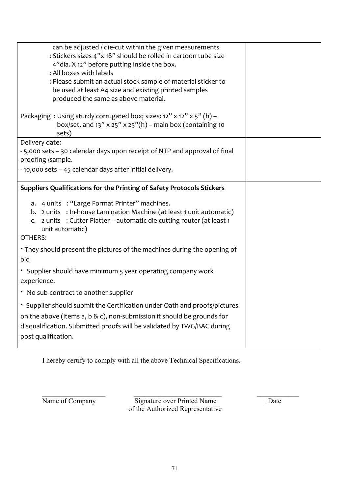| can be adjusted / die-cut within the given measurements<br>: Stickers sizes 4"x 18" should be rolled in cartoon tube size<br>4"dia. X 12" before putting inside the box.<br>: All boxes with labels<br>: Please submit an actual stock sample of material sticker to<br>be used at least A4 size and existing printed samples<br>produced the same as above material.<br>Packaging: Using sturdy corrugated box; sizes: 12" x 12" x 5" (h) - |  |
|----------------------------------------------------------------------------------------------------------------------------------------------------------------------------------------------------------------------------------------------------------------------------------------------------------------------------------------------------------------------------------------------------------------------------------------------|--|
| box/set, and $13''$ x $25''$ x $25''(h)$ – main box (containing 10<br>sets)                                                                                                                                                                                                                                                                                                                                                                  |  |
| Delivery date:<br>-5,000 sets -30 calendar days upon receipt of NTP and approval of final<br>proofing /sample.<br>- 10,000 sets - 45 calendar days after initial delivery.                                                                                                                                                                                                                                                                   |  |
| Suppliers Qualifications for the Printing of Safety Protocols Stickers                                                                                                                                                                                                                                                                                                                                                                       |  |
| a. 4 units : "Large Format Printer" machines.<br>b. 2 units : In-house Lamination Machine (at least 1 unit automatic)<br>2 units : Cutter Platter – automatic die cutting router (at least 1<br>unit automatic)<br>OTHERS:                                                                                                                                                                                                                   |  |
| • They should present the pictures of the machines during the opening of<br>bid                                                                                                                                                                                                                                                                                                                                                              |  |
| * Supplier should have minimum 5 year operating company work<br>experience.                                                                                                                                                                                                                                                                                                                                                                  |  |
| . No sub-contract to another supplier                                                                                                                                                                                                                                                                                                                                                                                                        |  |
| * Supplier should submit the Certification under Oath and proofs/pictures<br>on the above (items a, b & c), non-submission it should be grounds for<br>disqualification. Submitted proofs will be validated by TWG/BAC during<br>post qualification.                                                                                                                                                                                         |  |

I hereby certify to comply with all the above Technical Specifications.

Name of Company Signature over Printed Name of the Authorized Representative

 $\_$  , and the contribution of  $\_$  , and  $\_$  , and  $\_$  , and  $\_$  , and  $\_$  , and  $\_$  , and  $\_$  , and  $\_$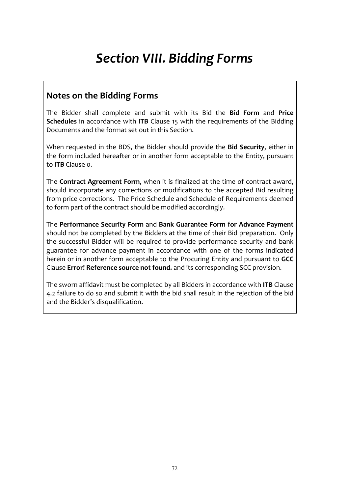# *Section VIII. Bidding Forms*

### **Notes on the Bidding Forms**

The Bidder shall complete and submit with its Bid the Bid Form and Price **Schedules** in accordance with **ITB** Clause 15 with the requirements of the Bidding Documents and the format set out in this Section.

When requested in the BDS, the Bidder should provide the Bid Security, either in the form included hereafter or in another form acceptable to the Entity, pursuant to **ITB** Clause o.

The **Contract Agreement Form**, when it is finalized at the time of contract award, should incorporate any corrections or modifications to the accepted Bid resulting from price corrections. The Price Schedule and Schedule of Requirements deemed to form part of the contract should be modified accordingly.

The Performance Security Form and Bank Guarantee Form for Advance Payment should not be completed by the Bidders at the time of their Bid preparation. Only the successful Bidder will be required to provide performance security and bank guarantee for advance payment in accordance with one of the forms indicated herein or in another form acceptable to the Procuring Entity and pursuant to **GCC** Clause **Error! Reference source not found.** and its corresponding SCC provision.

The sworn affidavit must be completed by all Bidders in accordance with **ITB** Clause 4.2 failure to do so and submit it with the bid shall result in the rejection of the bid and the Bidder's disqualification.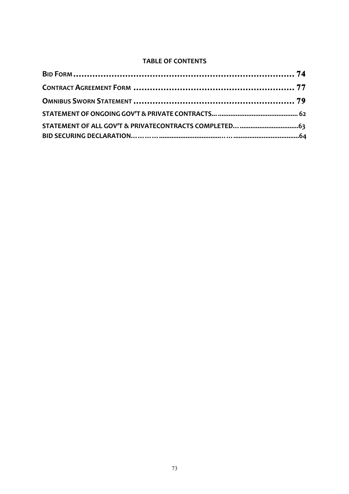# **TABLE OF CONTENTS**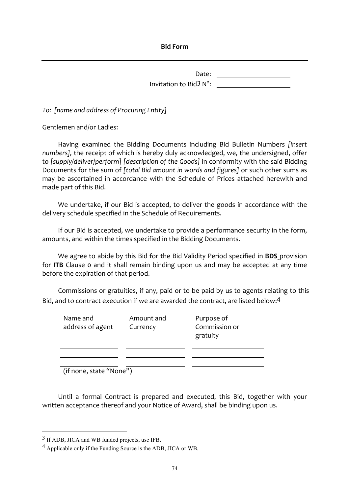**Bid Form**

Date: <u>with a set of the set of the set of the set of the set of the set of the set of the set of the set of the set of the set of the set of the set of the set of the set of the set of the set of the set of the set of the</u> Invitation to Bid<sup>3</sup> N<sup>o</sup>:

To: [name and address of Procuring Entity]

Gentlemen and/or Ladies:

Having examined the Bidding Documents including Bid Bulletin Numbers *[insert numbers]*, the receipt of which is hereby duly acknowledged, we, the undersigned, offer to [supply/deliver/perform] [description of the Goods] in conformity with the said Bidding Documents for the sum of *[total Bid amount in words and figures]* or such other sums as may be ascertained in accordance with the Schedule of Prices attached herewith and made part of this Bid.

We undertake, if our Bid is accepted, to deliver the goods in accordance with the delivery schedule specified in the Schedule of Requirements.

If our Bid is accepted, we undertake to provide a performance security in the form, amounts, and within the times specified in the Bidding Documents.

We agree to abide by this Bid for the Bid Validity Period specified in **BDS** provision for ITB Clause o and it shall remain binding upon us and may be accepted at any time before the expiration of that period.

Commissions or gratuities, if any, paid or to be paid by us to agents relating to this Bid, and to contract execution if we are awarded the contract, are listed below:4

| Name and<br>address of agent             | Amount and<br>Currency | Purpose of<br>Commission or<br>gratuity |
|------------------------------------------|------------------------|-----------------------------------------|
| $(\text{if none state} \text{``None''})$ |                        |                                         |

(if none, state "None")

Until a formal Contract is prepared and executed, this Bid, together with your written acceptance thereof and your Notice of Award, shall be binding upon us.

 <sup>3</sup> If ADB, JICA and WB funded projects, use IFB.

<sup>4</sup> Applicable only if the Funding Source is the ADB, JICA or WB.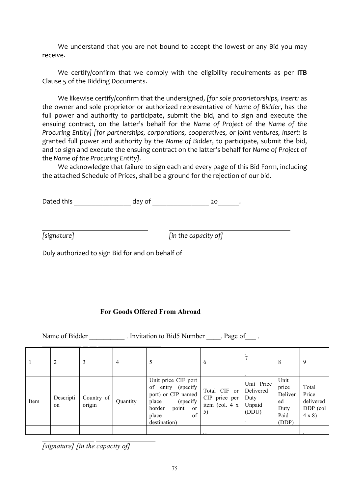We understand that you are not bound to accept the lowest or any Bid you may receive.

We certify/confirm that we comply with the eligibility requirements as per ITB Clause 5 of the Bidding Documents.

We likewise certify/confirm that the undersigned, [for sole proprietorships, insert: as the owner and sole proprietor or authorized representative of *Name* of *Bidder*, has the full power and authority to participate, submit the bid, and to sign and execute the ensuing contract, on the latter's behalf for the Name of Project of the Name of the *Procuring Entity]* [for partnerships, corporations, cooperatives, or joint ventures, insert: is granted full power and authority by the Name of Bidder, to participate, submit the bid, and to sign and execute the ensuing contract on the latter's behalf for Name of Project of the *Name* of the Procuring Entity].

We acknowledge that failure to sign each and every page of this Bid Form, including the attached Schedule of Prices, shall be a ground for the rejection of our bid.

| Dated this | dav of |  |  |
|------------|--------|--|--|
|            |        |  |  |

*lim* the capacity of *limit is general finithe capacity of l* 

Duly authorized to sign Bid for and on behalf of

#### **For Goods Offered From Abroad**

Name of Bidder \_\_\_\_\_\_\_\_\_\_\_. Invitation to Bid5 Number \_\_\_\_. Page of \_\_\_\_.

|      | 2               | 3                    | 4        | 5                                                                                                                                                          | 6                                                     |                                                    | 8                                                       | 9                                                       |
|------|-----------------|----------------------|----------|------------------------------------------------------------------------------------------------------------------------------------------------------------|-------------------------------------------------------|----------------------------------------------------|---------------------------------------------------------|---------------------------------------------------------|
| Item | Descripti<br>on | Country of<br>origin | Quantity | Unit price CIF port<br>entry (specify<br>of<br>port) or CIP named<br>(specify)<br>place<br>border<br>point<br><sub>or</sub><br>of<br>place<br>destination) | Total CIF or<br>CIP price per<br>item (col. 4 x<br>5) | Unit Price<br>Delivered<br>Duty<br>Unpaid<br>(DDU) | Unit<br>price<br>Deliver<br>ed<br>Duty<br>Paid<br>(DDP) | Total<br>Price<br>delivered<br>DDP (col<br>$4 \times 8$ |
|      |                 |                      |          |                                                                                                                                                            |                                                       |                                                    |                                                         |                                                         |

*[signature] [in the capacity of]*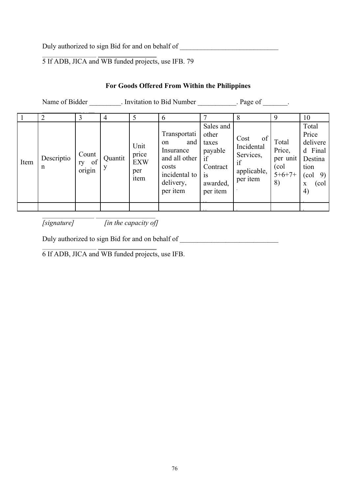Duly authorized to sign Bid for and on behalf of \_\_\_\_\_\_\_\_\_\_\_\_\_\_\_\_\_\_\_\_\_\_\_\_\_\_\_\_\_\_\_

5 If ADB, JICA and WB funded projects, use IFB. 79

# **For Goods Offered From Within the Philippines**

|      | Name of Bidder  |                             |              |                                            | . Invitation to Bid Number                                                                                 |                                                                                               | . Page of                                                              |                                                        |                                                                                           |
|------|-----------------|-----------------------------|--------------|--------------------------------------------|------------------------------------------------------------------------------------------------------------|-----------------------------------------------------------------------------------------------|------------------------------------------------------------------------|--------------------------------------------------------|-------------------------------------------------------------------------------------------|
|      | 2               | 3                           | 4            | 5                                          | 6                                                                                                          |                                                                                               | 8                                                                      | 9                                                      | 10                                                                                        |
| Item | Descriptio<br>n | Count<br>of<br>ry<br>origin | Quantit<br>y | Unit<br>price<br><b>EXW</b><br>per<br>item | Transportati<br>and<br>on<br>Insurance<br>and all other<br>costs<br>incidental to<br>delivery,<br>per item | Sales and<br>other<br>taxes<br>payable<br>if<br>Contract<br><b>1S</b><br>awarded,<br>per item | of<br>Cost<br>Incidental<br>Services.<br>if<br>applicable,<br>per item | Total<br>Price,<br>per unit<br>(col)<br>$5+6+7+$<br>8) | Total<br>Price<br>delivere<br>d Final<br>Destina<br>tion<br>9)<br>(col<br>(col<br>X<br>4) |
|      |                 |                             |              |                                            |                                                                                                            | 10, 10,                                                                                       |                                                                        |                                                        |                                                                                           |

*[signature] [in the capacity of]* 

Duly authorized to sign Bid for and on behalf of \_\_\_\_\_\_\_\_\_\_\_\_\_\_\_\_\_\_\_\_\_\_\_\_\_\_\_\_\_\_\_

6 If ADB, JICA and WB funded projects, use IFB.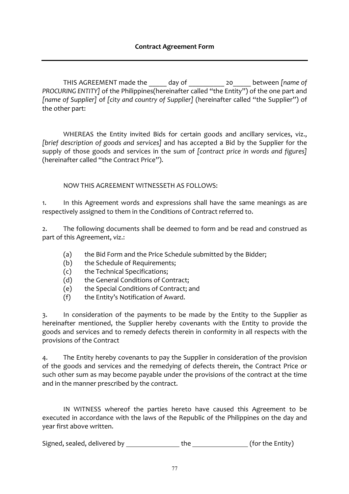THIS AGREEMENT made the day of the controller the controller of *PROCURING ENTITY]* of the Philippines(hereinafter called "the Entity") of the one part and *[name of Supplier]* of *[city and country of Supplier]* (hereinafter called "the Supplier") of the other part:

WHEREAS the Entity invited Bids for certain goods and ancillary services, viz., *[brief description of goods and services]* and has accepted a Bid by the Supplier for the supply of those goods and services in the sum of *[contract price in words and figures]* (hereinafter called "the Contract Price").

NOW THIS AGREEMENT WITNESSETH AS FOLLOWS:

1. In this Agreement words and expressions shall have the same meanings as are respectively assigned to them in the Conditions of Contract referred to.

2. The following documents shall be deemed to form and be read and construed as part of this Agreement, viz.:

- (a) the Bid Form and the Price Schedule submitted by the Bidder;
- (b) the Schedule of Requirements;
- (c) the Technical Specifications;
- (d) the General Conditions of Contract;
- (e) the Special Conditions of Contract; and
- $(f)$  the Entity's Notification of Award.

3. In consideration of the payments to be made by the Entity to the Supplier as hereinafter mentioned, the Supplier hereby covenants with the Entity to provide the goods and services and to remedy defects therein in conformity in all respects with the provisions of the Contract

4. The Entity hereby covenants to pay the Supplier in consideration of the provision of the goods and services and the remedying of defects therein, the Contract Price or such other sum as may become payable under the provisions of the contract at the time and in the manner prescribed by the contract.

IN WITNESS whereof the parties hereto have caused this Agreement to be executed in accordance with the laws of the Republic of the Philippines on the day and year first above written.

Signed, sealed, delivered by \_\_\_\_\_\_\_\_\_\_\_\_\_\_\_\_\_\_the \_\_\_\_\_\_\_\_\_\_\_\_\_\_\_\_(for the Entity)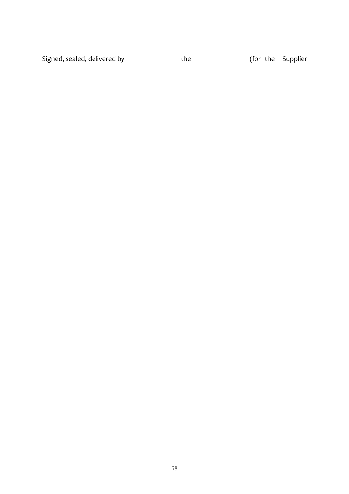| Signed, sealed, delivered by | the | (for the Supplier |
|------------------------------|-----|-------------------|
|                              |     |                   |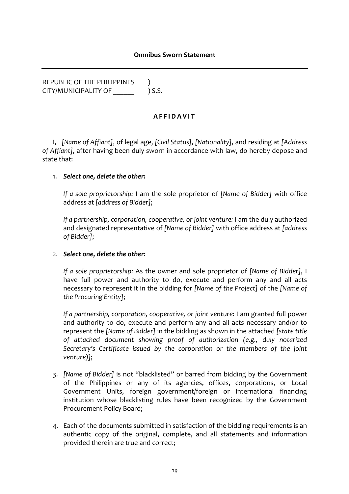#### **Omnibus Sworn Statement**

REPUBLIC OF THE PHILIPPINES ) CITY/MUNICIPALITY OF  $\qquad$  ) S.S.

## **AFFIDAVIT**

I, [Name of Affiant], of legal age, [Civil Status], [Nationality], and residing at [Address of Affiant], after having been duly sworn in accordance with law, do hereby depose and state that:

#### 1. Select one, delete the other:

*If a sole proprietorship:* I am the sole proprietor of *[Name of Bidder]* with office address at *[address of Bidder]*;

If a partnership, corporation, cooperative, or joint venture: I am the duly authorized and designated representative of *[Name of Bidder]* with office address at *[address of Bidder]*;

#### 2. Select one, delete the other:

*If a sole proprietorship:* As the owner and sole proprietor of *[Name of Bidder]*, I have full power and authority to do, execute and perform any and all acts necessary to represent it in the bidding for *[Name of the Project]* of the *[Name of the Procuring Entity]*;

If a partnership, corporation, cooperative, or joint venture: I am granted full power and authority to do, execute and perform any and all acts necessary and/or to represent the *[Name of Bidder]* in the bidding as shown in the attached *[state title* of attached document showing proof of authorization (e.g., duly notarized Secretary's Certificate issued by the corporation or the members of the joint *venture)]*;

- 3. *[Name of Bidder]* is not "blacklisted" or barred from bidding by the Government of the Philippines or any of its agencies, offices, corporations, or Local Government Units, foreign government/foreign or international financing institution whose blacklisting rules have been recognized by the Government Procurement Policy Board;
- 4. Each of the documents submitted in satisfaction of the bidding requirements is an authentic copy of the original, complete, and all statements and information provided therein are true and correct;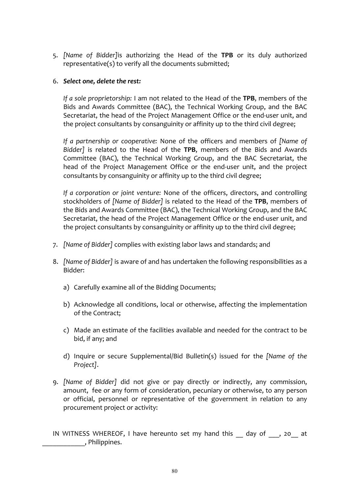5. *[Name of Bidder]*is authorizing the Head of the TPB or its duly authorized representative(s) to verify all the documents submitted;

## 6. *Select one, delete the rest:*

*If a sole proprietorship:* I am not related to the Head of the **TPB**, members of the Bids and Awards Committee (BAC), the Technical Working Group, and the BAC Secretariat, the head of the Project Management Office or the end-user unit, and the project consultants by consanguinity or affinity up to the third civil degree;

*If a partnership* or *cooperative:* None of the officers and members of *[Name of* Bidder] is related to the Head of the TPB, members of the Bids and Awards Committee (BAC), the Technical Working Group, and the BAC Secretariat, the head of the Project Management Office or the end-user unit, and the project consultants by consanguinity or affinity up to the third civil degree;

*If a corporation or joint venture:* None of the officers, directors, and controlling stockholders of *[Name of Bidder]* is related to the Head of the **TPB**, members of the Bids and Awards Committee (BAC), the Technical Working Group, and the BAC Secretariat, the head of the Project Management Office or the end-user unit, and the project consultants by consanguinity or affinity up to the third civil degree;

- 7. *[Name of Bidder]* complies with existing labor laws and standards; and
- 8. *[Name of Bidder]* is aware of and has undertaken the following responsibilities as a Bidder:
	- a) Carefully examine all of the Bidding Documents;
	- b) Acknowledge all conditions, local or otherwise, affecting the implementation of the Contract:
	- c) Made an estimate of the facilities available and needed for the contract to be bid, if any; and
	- d) Inquire or secure Supplemental/Bid Bulletin(s) issued for the *[Name of the Project]*.
- 9. *[Name of Bidder]* did not give or pay directly or indirectly, any commission, amount, fee or any form of consideration, pecuniary or otherwise, to any person or official, personnel or representative of the government in relation to any procurement project or activity:

IN WITNESS WHEREOF, I have hereunto set my hand this day of , 20 at \_\_\_\_\_\_\_\_\_\_\_\_, Philippines.